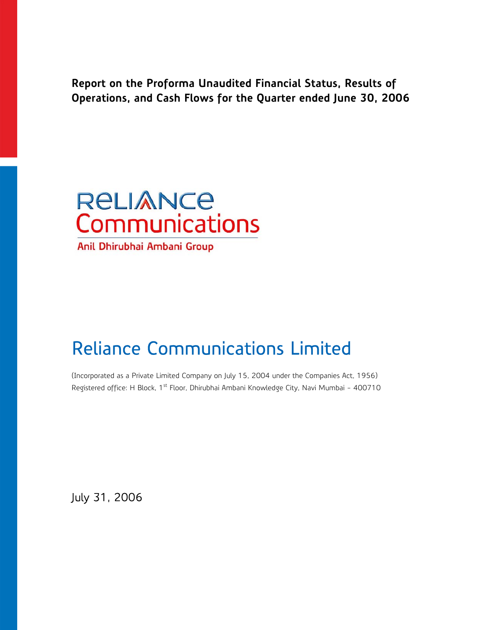**Report on the Proforma Unaudited Financial Status, Results of Operations, and Cash Flows for the Quarter ended June 30, 2006** 



Anil Dhirubhai Ambani Group

# Reliance Communications Limited

(Incorporated as a Private Limited Company on July 15, 2004 under the Companies Act, 1956) Registered office: H Block, 1<sup>st</sup> Floor, Dhirubhai Ambani Knowledge City, Navi Mumbai - 400710

July 31, 2006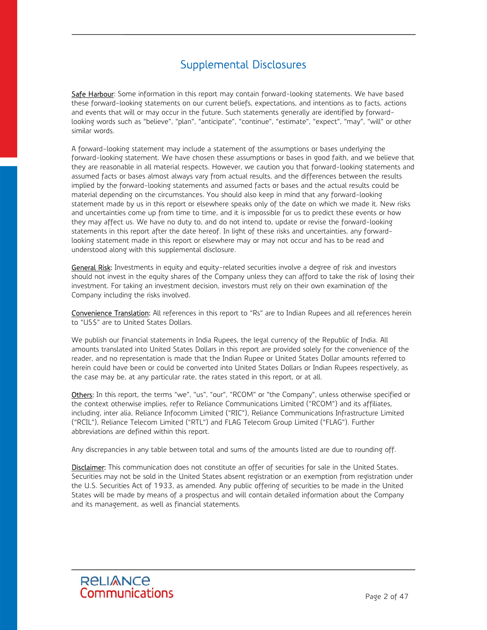# Supplemental Disclosures

Safe Harbour: Some information in this report may contain forward-looking statements. We have based these forward-looking statements on our current beliefs, expectations, and intentions as to facts, actions and events that will or may occur in the future. Such statements generally are identified by forwardlooking words such as "believe", "plan", "anticipate", "continue", "estimate", "expect", "may", "will" or other similar words.

A forward-looking statement may include a statement of the assumptions or bases underlying the forward-looking statement. We have chosen these assumptions or bases in good faith, and we believe that they are reasonable in all material respects. However, we caution you that forward-looking statements and assumed facts or bases almost always vary from actual results, and the differences between the results implied by the forward-looking statements and assumed facts or bases and the actual results could be material depending on the circumstances. You should also keep in mind that any forward-looking statement made by us in this report or elsewhere speaks only of the date on which we made it. New risks and uncertainties come up from time to time, and it is impossible for us to predict these events or how they may affect us. We have no duty to, and do not intend to, update or revise the forward-looking statements in this report after the date hereof. In light of these risks and uncertainties, any forwardlooking statement made in this report or elsewhere may or may not occur and has to be read and understood along with this supplemental disclosure.

General Risk: Investments in equity and equity-related securities involve a degree of risk and investors should not invest in the equity shares of the Company unless they can afford to take the risk of losing their investment. For taking an investment decision, investors must rely on their own examination of the Company including the risks involved.

Convenience Translation: All references in this report to "Rs" are to Indian Rupees and all references herein to "US\$" are to United States Dollars.

We publish our financial statements in India Rupees, the legal currency of the Republic of India. All amounts translated into United States Dollars in this report are provided solely for the convenience of the reader, and no representation is made that the Indian Rupee or United States Dollar amounts referred to herein could have been or could be converted into United States Dollars or Indian Rupees respectively, as the case may be, at any particular rate, the rates stated in this report, or at all.

Others: In this report, the terms "we", "us", "our", "RCOM" or "the Company", unless otherwise specified or the context otherwise implies, refer to Reliance Communications Limited ("RCOM") and its affiliates, including, inter alia, Reliance Infocomm Limited ("RIC"), Reliance Communications Infrastructure Limited ("RCIL"), Reliance Telecom Limited ("RTL") and FLAG Telecom Group Limited ("FLAG"). Further abbreviations are defined within this report.

Any discrepancies in any table between total and sums of the amounts listed are due to rounding off.

Disclaimer: This communication does not constitute an offer of securities for sale in the United States. Securities may not be sold in the United States absent registration or an exemption from registration under the U.S. Securities Act of 1933, as amended. Any public offering of securities to be made in the United States will be made by means of a prospectus and will contain detailed information about the Company and its management, as well as financial statements.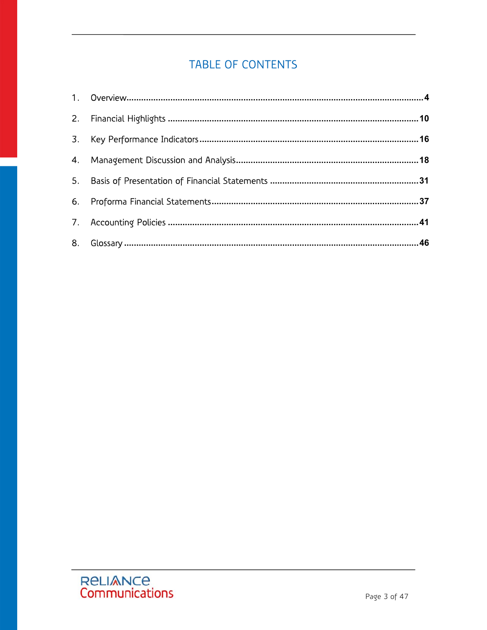# **TABLE OF CONTENTS**

| 4.             |  |
|----------------|--|
| 5.             |  |
| 6.             |  |
|                |  |
| 8 <sub>1</sub> |  |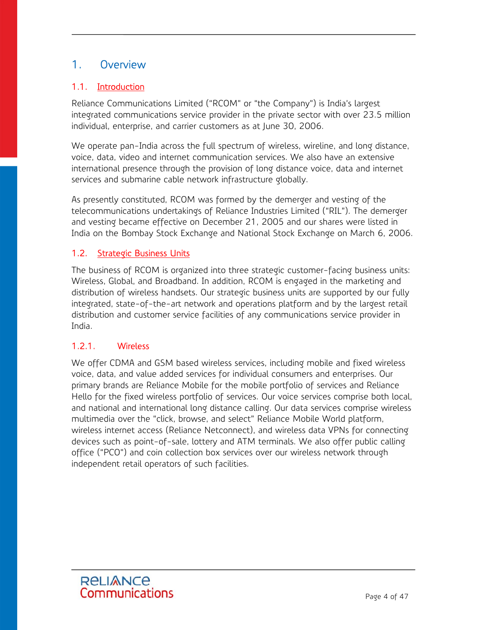# 1. Overview

## 1.1. Introduction

Reliance Communications Limited ("RCOM" or "the Company") is India's largest integrated communications service provider in the private sector with over 23.5 million individual, enterprise, and carrier customers as at June 30, 2006.

We operate pan-India across the full spectrum of wireless, wireline, and long distance, voice, data, video and internet communication services. We also have an extensive international presence through the provision of long distance voice, data and internet services and submarine cable network infrastructure globally.

As presently constituted, RCOM was formed by the demerger and vesting of the telecommunications undertakings of Reliance Industries Limited ("RIL"). The demerger and vesting became effective on December 21, 2005 and our shares were listed in India on the Bombay Stock Exchange and National Stock Exchange on March 6, 2006.

#### 1.2. Strategic Business Units

The business of RCOM is organized into three strategic customer-facing business units: Wireless, Global, and Broadband. In addition, RCOM is engaged in the marketing and distribution of wireless handsets. Our strategic business units are supported by our fully integrated, state-of-the-art network and operations platform and by the largest retail distribution and customer service facilities of any communications service provider in India.

#### 1.2.1. Wireless

We offer CDMA and GSM based wireless services, including mobile and fixed wireless voice, data, and value added services for individual consumers and enterprises. Our primary brands are Reliance Mobile for the mobile portfolio of services and Reliance Hello for the fixed wireless portfolio of services. Our voice services comprise both local, and national and international long distance calling. Our data services comprise wireless multimedia over the "click, browse, and select" Reliance Mobile World platform, wireless internet access (Reliance Netconnect), and wireless data VPNs for connecting devices such as point-of-sale, lottery and ATM terminals. We also offer public calling office ("PCO") and coin collection box services over our wireless network through independent retail operators of such facilities.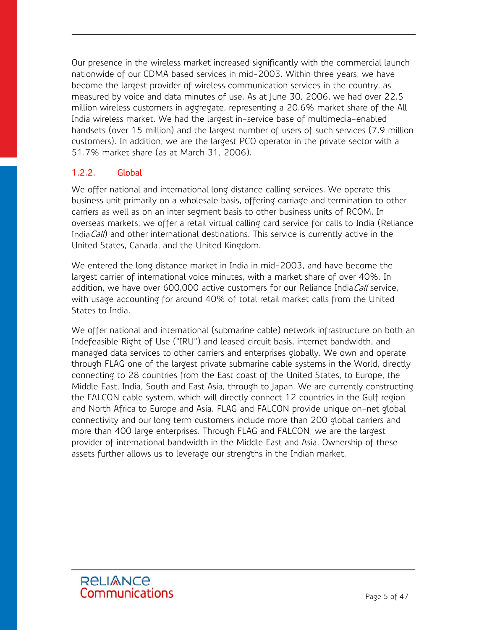Our presence in the wireless market increased significantly with the commercial launch nationwide of our CDMA based services in mid-2003. Within three years, we have become the largest provider of wireless communication services in the country, as measured by voice and data minutes of use. As at June 30, 2006, we had over 22.5 million wireless customers in aggregate, representing a 20.6% market share of the All India wireless market. We had the largest in-service base of multimedia-enabled handsets (over 15 million) and the largest number of users of such services (7.9 million customers). In addition, we are the largest PCO operator in the private sector with a 51.7% market share (as at March 31, 2006).

# 1.2.2. Global

We offer national and international long distance calling services. We operate this business unit primarily on a wholesale basis, offering carriage and termination to other carriers as well as on an inter segment basis to other business units of RCOM. In overseas markets, we offer a retail virtual calling card service for calls to India (Reliance India Call) and other international destinations. This service is currently active in the United States, Canada, and the United Kingdom.

We entered the long distance market in India in mid-2003, and have become the largest carrier of international voice minutes, with a market share of over 40%. In addition, we have over 600,000 active customers for our Reliance India Call service, with usage accounting for around 40% of total retail market calls from the United States to India.

We offer national and international (submarine cable) network infrastructure on both an Indefeasible Right of Use ("IRU") and leased circuit basis, internet bandwidth, and managed data services to other carriers and enterprises globally. We own and operate through FLAG one of the largest private submarine cable systems in the World, directly connecting to 28 countries from the East coast of the United States, to Europe, the Middle East, India, South and East Asia, through to Japan. We are currently constructing the FALCON cable system, which will directly connect 12 countries in the Gulf region and North Africa to Europe and Asia. FLAG and FALCON provide unique on-net global connectivity and our long term customers include more than 200 global carriers and more than 400 large enterprises. Through FLAG and FALCON, we are the largest provider of international bandwidth in the Middle East and Asia. Ownership of these assets further allows us to leverage our strengths in the Indian market.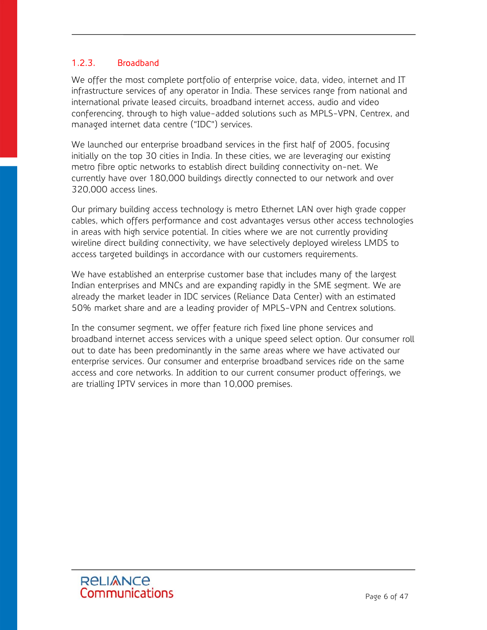## 1.2.3. Broadband

We offer the most complete portfolio of enterprise voice, data, video, internet and IT infrastructure services of any operator in India. These services range from national and international private leased circuits, broadband internet access, audio and video conferencing, through to high value-added solutions such as MPLS-VPN, Centrex, and managed internet data centre ("IDC") services.

We launched our enterprise broadband services in the first half of 2005, focusing initially on the top 30 cities in India. In these cities, we are leveraging our existing metro fibre optic networks to establish direct building connectivity on-net. We currently have over 180,000 buildings directly connected to our network and over 320,000 access lines.

Our primary building access technology is metro Ethernet LAN over high grade copper cables, which offers performance and cost advantages versus other access technologies in areas with high service potential. In cities where we are not currently providing wireline direct building connectivity, we have selectively deployed wireless LMDS to access targeted buildings in accordance with our customers requirements.

We have established an enterprise customer base that includes many of the largest Indian enterprises and MNCs and are expanding rapidly in the SME segment. We are already the market leader in IDC services (Reliance Data Center) with an estimated 50% market share and are a leading provider of MPLS-VPN and Centrex solutions.

In the consumer segment, we offer feature rich fixed line phone services and broadband internet access services with a unique speed select option. Our consumer roll out to date has been predominantly in the same areas where we have activated our enterprise services. Our consumer and enterprise broadband services ride on the same access and core networks. In addition to our current consumer product offerings, we are trialling IPTV services in more than 10,000 premises.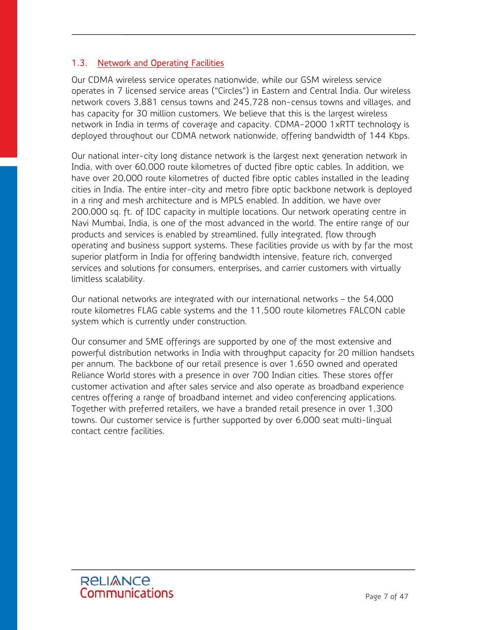## 1.3. Network and Operating Facilities

Our CDMA wireless service operates nationwide, while our GSM wireless service operates in 7 licensed service areas ("Circles") in Eastern and Central India. Our wireless network covers 3,881 census towns and 245,728 non-census towns and villages, and has capacity for 30 million customers. We believe that this is the largest wireless network in India in terms of coverage and capacity. CDMA-2000 1xRTT technology is deployed throughout our CDMA network nationwide, offering bandwidth of 144 Kbps.

Our national inter-city long distance network is the largest next generation network in India, with over 60,000 route kilometres of ducted fibre optic cables. In addition, we have over 20,000 route kilometres of ducted fibre optic cables installed in the leading cities in India. The entire inter-city and metro fibre optic backbone network is deployed in a ring and mesh architecture and is MPLS enabled. In addition, we have over 200,000 sq. ft. of IDC capacity in multiple locations. Our network operating centre in Navi Mumbai, India, is one of the most advanced in the world. The entire range of our products and services is enabled by streamlined, fully integrated, flow through operating and business support systems. These facilities provide us with by far the most superior platform in India for offering bandwidth intensive, feature rich, converged services and solutions for consumers, enterprises, and carrier customers with virtually limitless scalability.

Our national networks are integrated with our international networks – the 54,000 route kilometres FLAG cable systems and the 11,500 route kilometres FALCON cable system which is currently under construction.

Our consumer and SME offerings are supported by one of the most extensive and powerful distribution networks in India with throughput capacity for 20 million handsets per annum. The backbone of our retail presence is over 1,650 owned and operated Reliance World stores with a presence in over 700 Indian cities. These stores offer customer activation and after sales service and also operate as broadband experience centres offering a range of broadband internet and video conferencing applications. Together with preferred retailers, we have a branded retail presence in over 1,300 towns. Our customer service is further supported by over 6,000 seat multi-lingual contact centre facilities.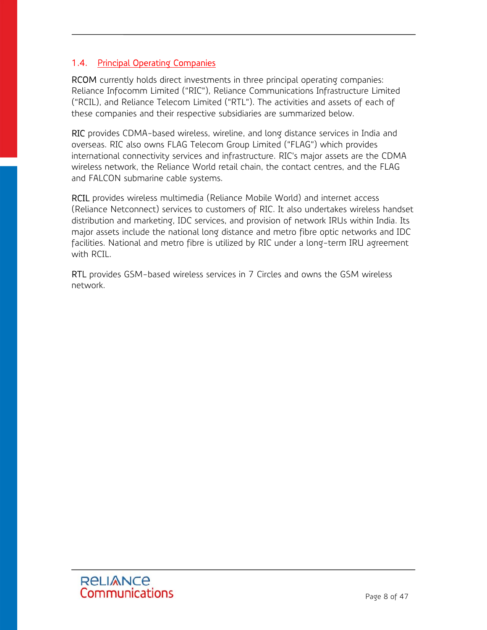## 1.4. Principal Operating Companies

RCOM currently holds direct investments in three principal operating companies: Reliance Infocomm Limited ("RIC"), Reliance Communications Infrastructure Limited ("RCIL), and Reliance Telecom Limited ("RTL"). The activities and assets of each of these companies and their respective subsidiaries are summarized below.

RIC provides CDMA-based wireless, wireline, and long distance services in India and overseas. RIC also owns FLAG Telecom Group Limited ("FLAG") which provides international connectivity services and infrastructure. RIC's major assets are the CDMA wireless network, the Reliance World retail chain, the contact centres, and the FLAG and FALCON submarine cable systems.

RCIL provides wireless multimedia (Reliance Mobile World) and internet access (Reliance Netconnect) services to customers of RIC. It also undertakes wireless handset distribution and marketing, IDC services, and provision of network IRUs within India. Its major assets include the national long distance and metro fibre optic networks and IDC facilities. National and metro fibre is utilized by RIC under a long-term IRU agreement with RCIL.

RTL provides GSM-based wireless services in 7 Circles and owns the GSM wireless network.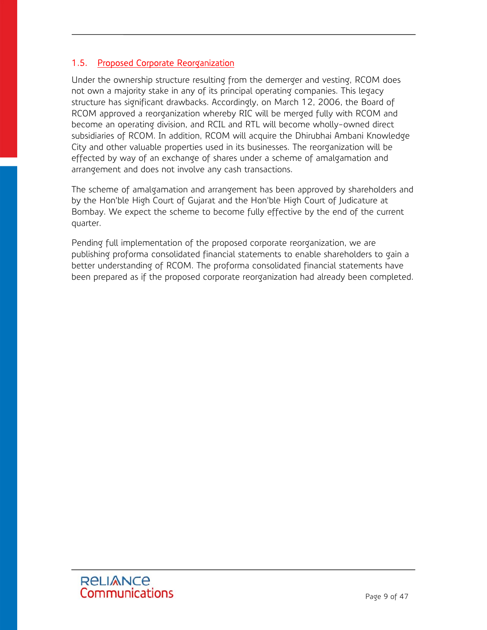## 1.5. Proposed Corporate Reorganization

Under the ownership structure resulting from the demerger and vesting, RCOM does not own a majority stake in any of its principal operating companies. This legacy structure has significant drawbacks. Accordingly, on March 12, 2006, the Board of RCOM approved a reorganization whereby RIC will be merged fully with RCOM and become an operating division, and RCIL and RTL will become wholly-owned direct subsidiaries of RCOM. In addition, RCOM will acquire the Dhirubhai Ambani Knowledge City and other valuable properties used in its businesses. The reorganization will be effected by way of an exchange of shares under a scheme of amalgamation and arrangement and does not involve any cash transactions.

The scheme of amalgamation and arrangement has been approved by shareholders and by the Hon'ble High Court of Gujarat and the Hon'ble High Court of Judicature at Bombay. We expect the scheme to become fully effective by the end of the current quarter.

Pending full implementation of the proposed corporate reorganization, we are publishing proforma consolidated financial statements to enable shareholders to gain a better understanding of RCOM. The proforma consolidated financial statements have been prepared as if the proposed corporate reorganization had already been completed.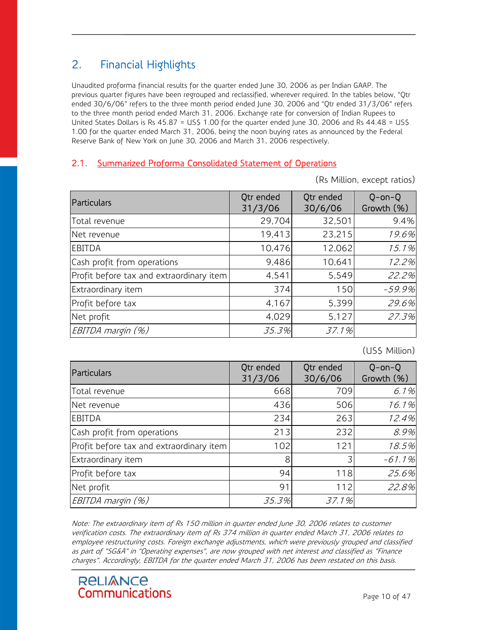# 2. Financial Highlights

Unaudited proforma financial results for the quarter ended June 30, 2006 as per Indian GAAP. The previous quarter figures have been regrouped and reclassified, wherever required. In the tables below, "Qtr ended 30/6/06" refers to the three month period ended June 30, 2006 and "Qtr ended 31/3/06" refers to the three month period ended March 31, 2006. Exchange rate for conversion of Indian Rupees to United States Dollars is Rs 45.87 = US\$ 1.00 for the quarter ended June 30, 2006 and Rs 44.48 = US\$ 1.00 for the quarter ended March 31, 2006, being the noon buying rates as announced by the Federal Reserve Bank of New York on June 30, 2006 and March 31, 2006 respectively.

## 2.1. Summarized Proforma Consolidated Statement of Operations

(Rs Million, except ratios)

| Particulars                              | Qtr ended<br>31/3/06 | Qtr ended<br>30/6/06 | $Q$ -on- $Q$<br>Growth (%) |
|------------------------------------------|----------------------|----------------------|----------------------------|
| Total revenue                            | 29,704               | 32,501               | 9.4%                       |
| Net revenue                              | 19,413               | 23,215               | 19.6%                      |
| <b>EBITDA</b>                            | 10,476               | 12,062               | 15.1%                      |
| Cash profit from operations              | 9,486                | 10,641               | 12.2%                      |
| Profit before tax and extraordinary item | 4,541                | 5,549                | 22.2%                      |
| Extraordinary item                       | 374                  | 150                  | $-59.9%$                   |
| Profit before tax                        | 4,167                | 5,399                | 29.6%                      |
| Net profit                               | 4,029                | 5,127                | 27.3%                      |
| EBITDA margin (%)                        | 35.3%                | 37.1%                |                            |

(US\$ Million)

| Particulars                              | Qtr ended<br>31/3/06 | Qtr ended<br>30/6/06 | $Q$ -on- $Q$<br>Growth (%) |
|------------------------------------------|----------------------|----------------------|----------------------------|
| Total revenue                            | 668                  | 709                  | 6.1%                       |
| Net revenue                              | 436                  | 506                  | 16.1%                      |
| <b>EBITDA</b>                            | 234                  | 263                  | 12.4%                      |
| Cash profit from operations              | 213                  | 232                  | 8.9%                       |
| Profit before tax and extraordinary item | 102                  | 121                  | 18.5%                      |
| Extraordinary item                       | 8                    | 3                    | $-61.1%$                   |
| Profit before tax                        | 94                   | 118                  | 25.6%                      |
| Net profit                               | 91                   | 112                  | 22.8%                      |
| EBITDA margin (%)                        | 35.3%                | 37.1%                |                            |

Note: The extraordinary item of Rs 150 million in quarter ended June 30, 2006 relates to customer verification costs. The extraordinary item of Rs 374 million in quarter ended March 31, 2006 relates to employee restructuring costs. Foreign exchange adjustments, which were previously grouped and classified as part of "SG&A" in "Operating expenses", are now grouped with net interest and classified as "Finance charges". Accordingly, EBITDA for the quarter ended March 31, 2006 has been restated on this basis.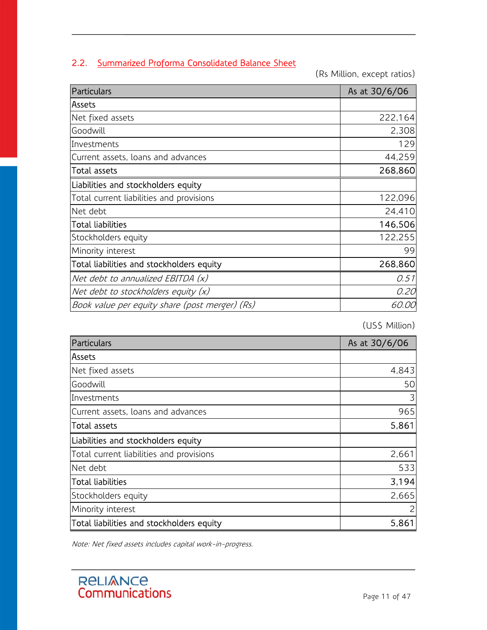# 2.2. Summarized Proforma Consolidated Balance Sheet

(Rs Million, except ratios)

| Particulars                                    | As at 30/6/06 |
|------------------------------------------------|---------------|
| lAssets                                        |               |
| Net fixed assets                               | 222,164       |
| Goodwill                                       | 2,308         |
| Investments                                    | 129           |
| Current assets, loans and advances             | 44,259        |
| <b>Total assets</b>                            | 268,860       |
| Liabilities and stockholders equity            |               |
| Total current liabilities and provisions       | 122,096       |
| Net debt                                       | 24,410        |
| <b>Total liabilities</b>                       | 146,506       |
| Stockholders equity                            | 122,255       |
| Minority interest                              | 99            |
| Total liabilities and stockholders equity      | 268,860       |
| Net debt to annualized EBITDA (x)              | 0.51          |
| Net debt to stockholders equity $(x)$          | 0.20          |
| Book value per equity share (post merger) (Rs) | <i>60.00</i>  |

(US\$ Million)

| Particulars                               | As at 30/6/06 |
|-------------------------------------------|---------------|
| <b>Assets</b>                             |               |
| Net fixed assets                          | 4,843         |
| Goodwill                                  | 50            |
| Investments                               | 3             |
| Current assets, loans and advances        | 965           |
| Total assets                              | 5,861         |
| Liabilities and stockholders equity       |               |
| Total current liabilities and provisions  | 2,661         |
| Net debt                                  | 533           |
| Total liabilities                         | 3,194         |
| Stockholders equity                       | 2,665         |
| Minority interest                         |               |
| Total liabilities and stockholders equity | 5,861         |

Note: Net fixed assets includes capital work-in-progress.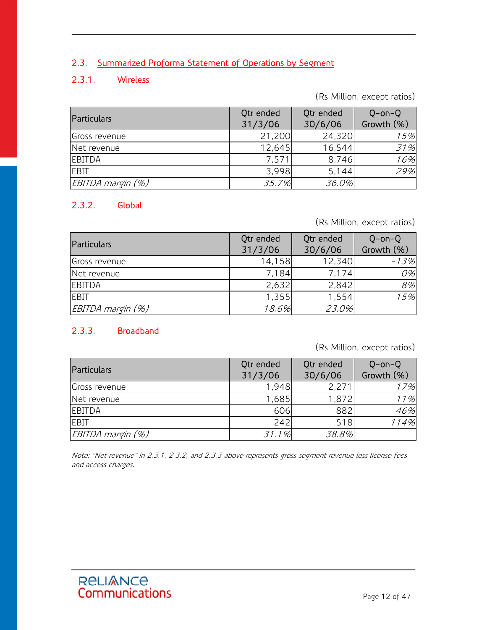# 2.3. Summarized Proforma Statement of Operations by Segment

# 2.3.1. Wireless

(Rs Million, except ratios)

| <b>Particulars</b> | Qtr ended<br>31/3/06 | Qtr ended<br>30/6/06 | $Q$ -on- $Q$<br>Growth (%) |
|--------------------|----------------------|----------------------|----------------------------|
| Gross revenue      | 21,200               | 24,320               | 15%                        |
| Net revenue        | 12,645               | 16,544               | 31%                        |
| <b>EBITDA</b>      | 7,571                | 8,746                | 16%                        |
| <b>IEBIT</b>       | 3,998                | 5,144                | 29%                        |
| EBITDA margin (%)  | 35.7%                | 36.0%                |                            |

## 2.3.2. Global

(Rs Million, except ratios)

| Particulars       | Qtr ended<br>31/3/06 | Qtr ended<br>30/6/06 | $Q$ -on- $Q$<br>Growth (%) |
|-------------------|----------------------|----------------------|----------------------------|
| Gross revenue     | 14,158               | 12,340               | $-13%$                     |
| Net revenue       | 7,184                | 7.174                | 0%                         |
| EBITDA            | 2,632                | 2,842                | 8%                         |
| <b>EBIT</b>       | 1,355                | 1,554                | 15%                        |
| EBITDA margin (%) | 18.6%                | 23.0%                |                            |

#### 2.3.3. Broadband

(Rs Million, except ratios)

| Particulars       | Qtr ended<br>31/3/06 | Qtr ended<br>30/6/06 | $Q$ -on- $Q$<br>Growth (%) |
|-------------------|----------------------|----------------------|----------------------------|
| Gross revenue     | 1.948                | 2,271                | 17%                        |
| Net revenue       | 1,685                | 1,872                | 11%                        |
| EBITDA            | 606                  | 882                  | 46%                        |
| <b>EBIT</b>       | 242                  | 518                  | 114%                       |
| EBITDA margin (%) | 31.1%                | 38.8%                |                            |

Note: "Net revenue" in 2.3.1, 2.3.2, and 2.3.3 above represents gross segment revenue less license fees and access charges.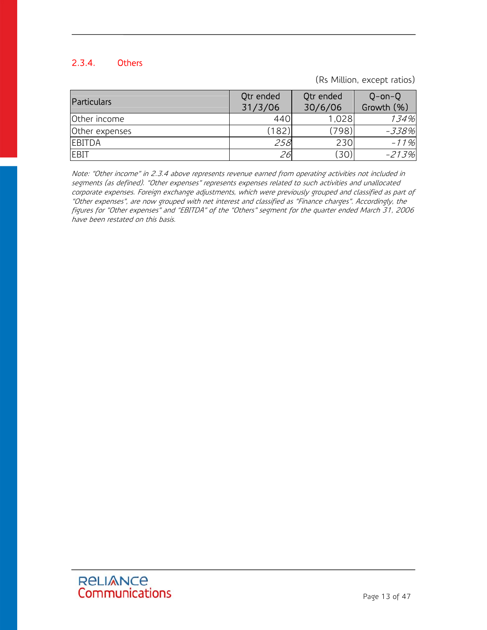# 2.3.4. Others

(Rs Million, except ratios)

| Particulars    | Qtr ended<br>31/3/06 | Qtr ended<br>30/6/06 | $Q$ -on- $Q$<br>Growth (%) |
|----------------|----------------------|----------------------|----------------------------|
| Other income   | 440                  | 1,028                | 134%                       |
| Other expenses | (182)                | 798)                 | -338%                      |
| <b>EBITDA</b>  | 258                  | 230                  | $-11%$                     |
| <b>EBIT</b>    | 26                   | 30)                  | $-213%$                    |

Note: "Other income" in 2.3.4 above represents revenue earned from operating activities not included in segments (as defined). "Other expenses" represents expenses related to such activities and unallocated corporate expenses. Foreign exchange adjustments, which were previously grouped and classified as part of "Other expenses", are now grouped with net interest and classified as "Finance charges". Accordingly, the figures for "Other expenses" and "EBITDA" of the "Others" segment for the quarter ended March 31, 2006 have been restated on this basis.

# ReLIANCE<br>Communications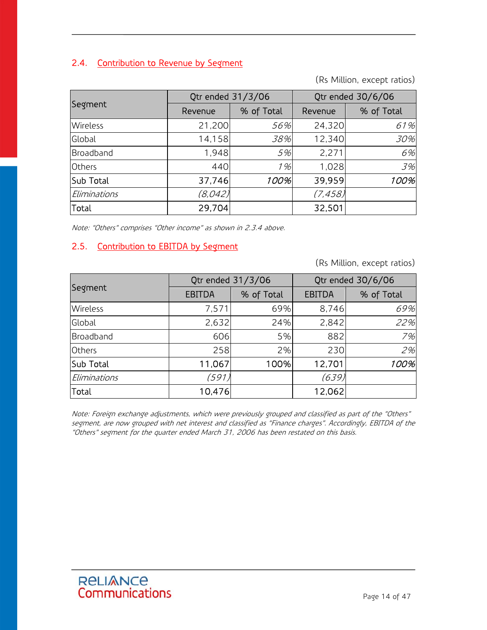# 2.4. Contribution to Revenue by Segment

(Rs Million, except ratios)

|                 | Qtr ended 31/3/06 |            | Qtr ended 30/6/06 |            |
|-----------------|-------------------|------------|-------------------|------------|
| Segment         | Revenue           | % of Total | Revenue           | % of Total |
| <b>Wireless</b> | 21,200            | 56%        | 24,320            | 61%        |
| Global          | 14,158            | 38%        | 12,340            | 30%        |
| Broadband       | 1,948             | 5%         | 2,271             | 6%         |
| <b>Others</b>   | 440               | 1%         | 1,028             | 3%         |
| Sub Total       | 37,746            | 100%       | 39,959            | 100%       |
| Eliminations    | (8,042)           |            | (7, 458)          |            |
| Total           | 29,704            |            | 32,501            |            |

Note: "Others" comprises "Other income" as shown in 2.3.4 above.

## 2.5. Contribution to EBITDA by Segment

(Rs Million, except ratios)

|                 | Qtr ended 31/3/06 |            | Qtr ended 30/6/06 |            |
|-----------------|-------------------|------------|-------------------|------------|
| Segment         | <b>EBITDA</b>     | % of Total | <b>EBITDA</b>     | % of Total |
| <b>Wireless</b> | 7,571             | 69%        | 8,746             | 69%        |
| Global          | 2,632             | 24%        | 2,842             | 22%        |
| Broadband       | 606               | 5%         | 882               | 7%         |
| Others          | 258               | 2%         | 230               | 2%         |
| Sub Total       | 11,067            | 100%       | 12,701            | 100%       |
| Eliminations    | (591)             |            | (639)             |            |
| Total           | 10,476            |            | 12,062            |            |

Note: Foreign exchange adjustments, which were previously grouped and classified as part of the "Others" segment, are now grouped with net interest and classified as "Finance charges". Accordingly, EBITDA of the "Others" segment for the quarter ended March 31, 2006 has been restated on this basis.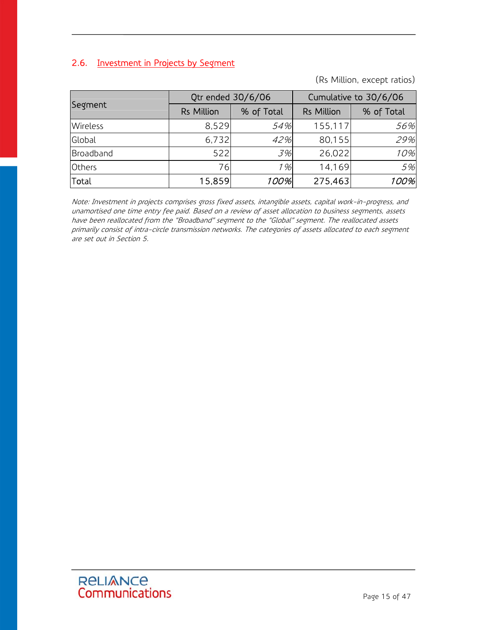# 2.6. Investment in Projects by Segment

(Rs Million, except ratios)

|                 | Qtr ended 30/6/06 |            | Cumulative to 30/6/06 |            |
|-----------------|-------------------|------------|-----------------------|------------|
| Segment         | <b>Rs Million</b> | % of Total | <b>Rs Million</b>     | % of Total |
| <b>Wireless</b> | 8,529             | 54%        | 155,117               | 56%        |
| Global          | 6,732             | 42%        | 80,155                | 29%        |
| Broadband       | 522               | 3%         | 26,022                | 10%        |
| <b>Others</b>   | 76                | 1%         | 14,169                | 5%         |
| Total           | 15,859            | 100%       | 275,463               | 100%       |

Note: Investment in projects comprises gross fixed assets, intangible assets, capital work-in-progress, and unamortised one time entry fee paid. Based on a review of asset allocation to business segments, assets have been reallocated from the "Broadband" segment to the "Global" segment. The reallocated assets primarily consist of intra-circle transmission networks. The categories of assets allocated to each segment are set out in Section 5.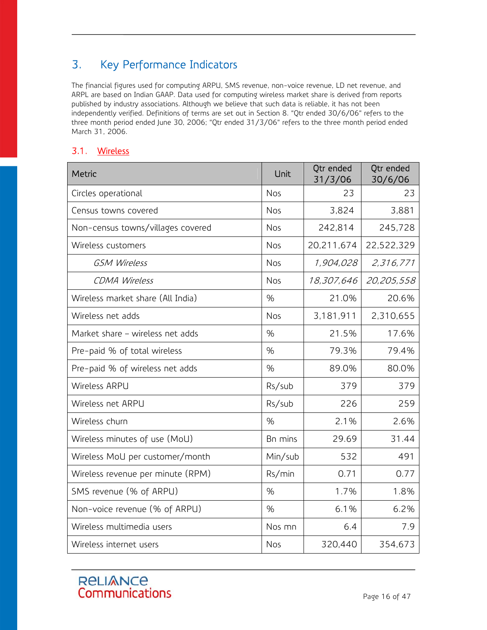# 3. Key Performance Indicators

The financial figures used for computing ARPU, SMS revenue, non-voice revenue, LD net revenue, and ARPL are based on Indian GAAP. Data used for computing wireless market share is derived from reports published by industry associations. Although we believe that such data is reliable, it has not been independently verified. Definitions of terms are set out in Section 8. "Qtr ended 30/6/06" refers to the three month period ended June 30, 2006; "Qtr ended 31/3/06" refers to the three month period ended March 31, 2006.

# 3.1. Wireless

| <b>Metric</b>                     | Unit       | Qtr ended<br>31/3/06 | Qtr ended<br>30/6/06 |
|-----------------------------------|------------|----------------------|----------------------|
| Circles operational               | Nos        | 23                   | 23                   |
| Census towns covered              | Nos        | 3,824                | 3,881                |
| Non-census towns/villages covered | <b>Nos</b> | 242,814              | 245,728              |
| Wireless customers                | Nos        | 20,211,674           | 22,522,329           |
| <b>GSM Wireless</b>               | Nos        | 1,904,028            | 2,316,771            |
| <b>CDMA Wireless</b>              | <b>Nos</b> | 18,307,646           | 20,205,558           |
| Wireless market share (All India) | %          | 21.0%                | 20.6%                |
| Wireless net adds                 | Nos        | 3,181,911            | 2,310,655            |
| Market share - wireless net adds  | %          | 21.5%                | 17.6%                |
| Pre-paid % of total wireless      | %          | 79.3%                | 79.4%                |
| Pre-paid % of wireless net adds   | %          | 89.0%                | 80.0%                |
| Wireless ARPU                     | Rs/sub     | 379                  | 379                  |
| Wireless net ARPU                 | Rs/sub     | 226                  | 259                  |
| Wireless churn                    | %          | 2.1%                 | 2.6%                 |
| Wireless minutes of use (MoU)     | Bn mins    | 29.69                | 31.44                |
| Wireless MoU per customer/month   | Min/sub    | 532                  | 491                  |
| Wireless revenue per minute (RPM) | Rs/min     | 0.71                 | 0.77                 |
| SMS revenue (% of ARPU)           | %          | 1.7%                 | 1.8%                 |
| Non-voice revenue (% of ARPU)     | %          | 6.1%                 | 6.2%                 |
| Wireless multimedia users         | Nos mn     | 6.4                  | 7.9                  |
| Wireless internet users           | Nos        | 320,440              | 354,673              |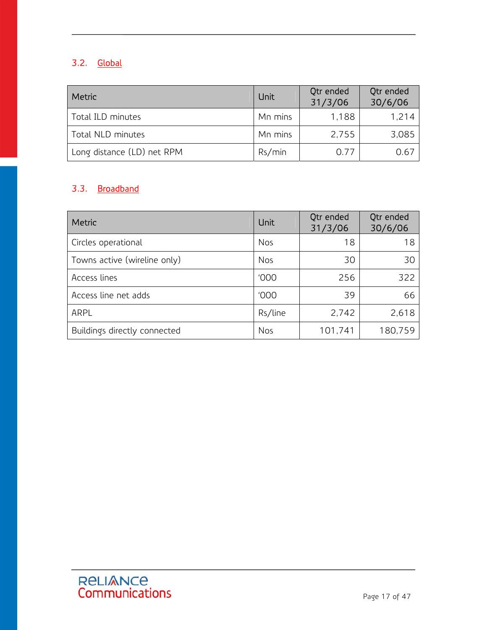# 3.2. Global

| Metric                     | Unit    | Qtr ended<br>31/3/06 | Qtr ended<br>30/6/06 |
|----------------------------|---------|----------------------|----------------------|
| Total ILD minutes          | Mn mins | 1,188                | 1.214                |
| Total NLD minutes          | Mn mins | 2,755                | 3,085                |
| Long distance (LD) net RPM | Rs/min  | 0.77                 | 0.67                 |

# 3.3. Broadband

Ξ

| Metric                       | <b>Unit</b> | Qtr ended<br>31/3/06 | Qtr ended<br>30/6/06 |
|------------------------------|-------------|----------------------|----------------------|
| Circles operational          | <b>Nos</b>  | 18                   | 18                   |
| Towns active (wireline only) | <b>Nos</b>  | 30                   | 30                   |
| Access lines                 | '000        | 256                  | 322                  |
| Access line net adds         | '000        | 39                   | 66                   |
| ARPL                         | Rs/line     | 2,742                | 2,618                |
| Buildings directly connected | <b>Nos</b>  | 101,741              | 180,759              |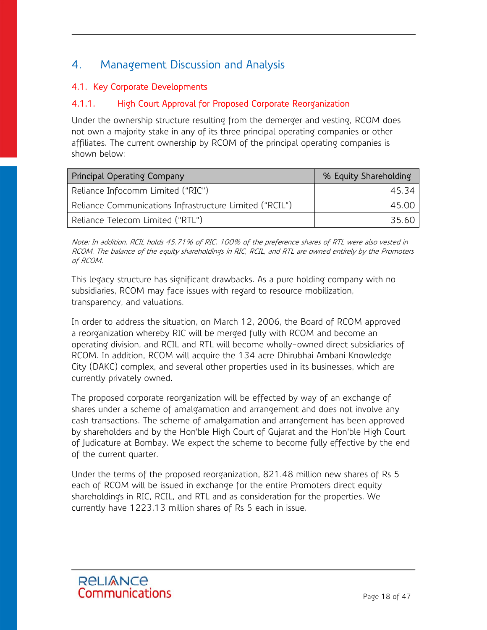# 4. Management Discussion and Analysis

# 4.1. Key Corporate Developments

# 4.1.1. High Court Approval for Proposed Corporate Reorganization

Under the ownership structure resulting from the demerger and vesting, RCOM does not own a majority stake in any of its three principal operating companies or other affiliates. The current ownership by RCOM of the principal operating companies is shown below:

| Principal Operating Company                             | % Equity Shareholding |
|---------------------------------------------------------|-----------------------|
| Reliance Infocomm Limited ("RIC")                       | 45.34                 |
| Reliance Communications Infrastructure Limited ("RCIL") | 45.00                 |
| Reliance Telecom Limited ("RTL")                        | 35.60                 |

Note: In addition, RCIL holds 45.71% of RIC. 100% of the preference shares of RTL were also vested in RCOM. The balance of the equity shareholdings in RIC, RCIL, and RTL are owned entirely by the Promoters of RCOM.

This legacy structure has significant drawbacks. As a pure holding company with no subsidiaries, RCOM may face issues with regard to resource mobilization, transparency, and valuations.

In order to address the situation, on March 12, 2006, the Board of RCOM approved a reorganization whereby RIC will be merged fully with RCOM and become an operating division, and RCIL and RTL will become wholly-owned direct subsidiaries of RCOM. In addition, RCOM will acquire the 134 acre Dhirubhai Ambani Knowledge City (DAKC) complex, and several other properties used in its businesses, which are currently privately owned.

The proposed corporate reorganization will be effected by way of an exchange of shares under a scheme of amalgamation and arrangement and does not involve any cash transactions. The scheme of amalgamation and arrangement has been approved by shareholders and by the Hon'ble High Court of Gujarat and the Hon'ble High Court of Judicature at Bombay. We expect the scheme to become fully effective by the end of the current quarter.

Under the terms of the proposed reorganization, 821.48 million new shares of Rs 5 each of RCOM will be issued in exchange for the entire Promoters direct equity shareholdings in RIC, RCIL, and RTL and as consideration for the properties. We currently have 1223.13 million shares of Rs 5 each in issue.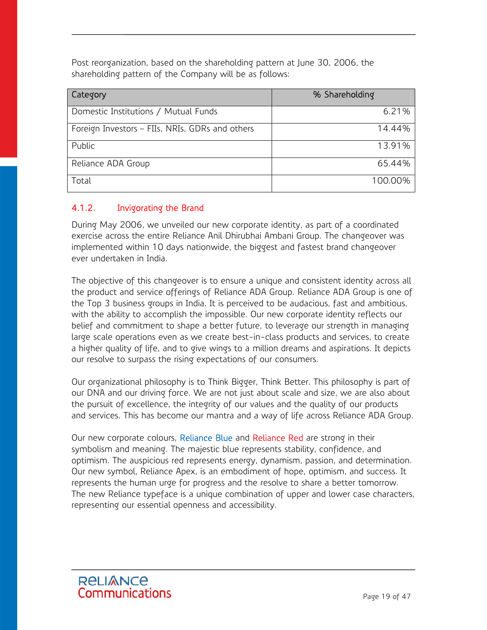Post reorganization, based on the shareholding pattern at June 30, 2006, the shareholding pattern of the Company will be as follows:

| <b>Category</b>                                 | % Shareholding |
|-------------------------------------------------|----------------|
| Domestic Institutions / Mutual Funds            | 6.21%          |
| Foreign Investors - FIIs, NRIs, GDRs and others | 14.44%         |
| Public                                          | 13.91%         |
| Reliance ADA Group                              | 65.44%         |
| Total                                           | 100.00%        |

## 4.1.2. Invigorating the Brand

During May 2006, we unveiled our new corporate identity, as part of a coordinated exercise across the entire Reliance Anil Dhirubhai Ambani Group. The changeover was implemented within 10 days nationwide, the biggest and fastest brand changeover ever undertaken in India.

The objective of this changeover is to ensure a unique and consistent identity across all the product and service offerings of Reliance ADA Group. Reliance ADA Group is one of the Top 3 business groups in India. It is perceived to be audacious, fast and ambitious, with the ability to accomplish the impossible. Our new corporate identity reflects our belief and commitment to shape a better future, to leverage our strength in managing large scale operations even as we create best-in-class products and services, to create a higher quality of life, and to give wings to a million dreams and aspirations. It depicts our resolve to surpass the rising expectations of our consumers.

Our organizational philosophy is to Think Bigger, Think Better. This philosophy is part of our DNA and our driving force. We are not just about scale and size, we are also about the pursuit of excellence, the integrity of our values and the quality of our products and services. This has become our mantra and a way of life across Reliance ADA Group.

Our new corporate colours, Reliance Blue and Reliance Red are strong in their symbolism and meaning. The majestic blue represents stability, confidence, and optimism. The auspicious red represents energy, dynamism, passion, and determination. Our new symbol, Reliance Apex, is an embodiment of hope, optimism, and success. It represents the human urge for progress and the resolve to share a better tomorrow. The new Reliance typeface is a unique combination of upper and lower case characters, representing our essential openness and accessibility.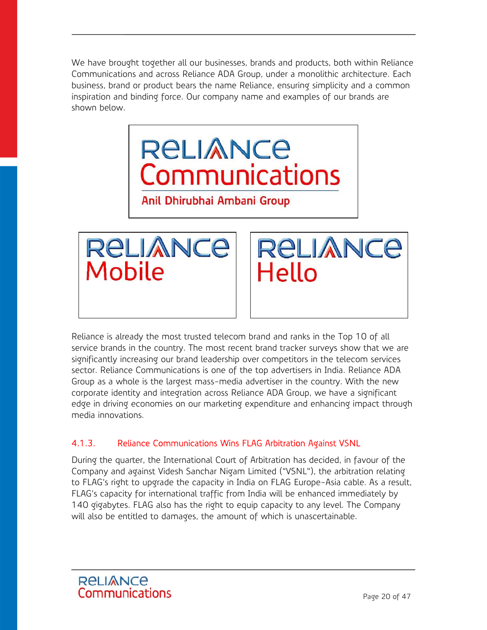We have brought together all our businesses, brands and products, both within Reliance Communications and across Reliance ADA Group, under a monolithic architecture. Each business, brand or product bears the name Reliance, ensuring simplicity and a common inspiration and binding force. Our company name and examples of our brands are shown below.





**RELIANCE** Hello

Reliance is already the most trusted telecom brand and ranks in the Top 10 of all service brands in the country. The most recent brand tracker surveys show that we are significantly increasing our brand leadership over competitors in the telecom services sector. Reliance Communications is one of the top advertisers in India. Reliance ADA Group as a whole is the largest mass-media advertiser in the country. With the new corporate identity and integration across Reliance ADA Group, we have a significant edge in driving economies on our marketing expenditure and enhancing impact through media innovations.

# 4.1.3. Reliance Communications Wins FLAG Arbitration Against VSNL

During the quarter, the International Court of Arbitration has decided, in favour of the Company and against Videsh Sanchar Nigam Limited ("VSNL"), the arbitration relating to FLAG's right to upgrade the capacity in India on FLAG Europe-Asia cable. As a result, FLAG's capacity for international traffic from India will be enhanced immediately by 140 gigabytes. FLAG also has the right to equip capacity to any level. The Company will also be entitled to damages, the amount of which is unascertainable.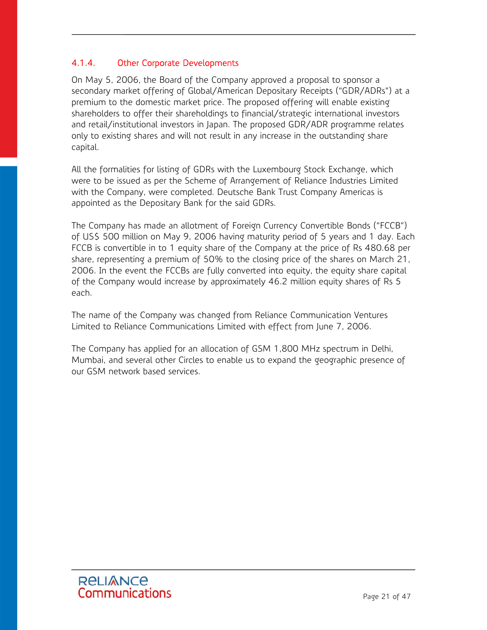## 4.1.4. Other Corporate Developments

On May 5, 2006, the Board of the Company approved a proposal to sponsor a secondary market offering of Global/American Depositary Receipts ("GDR/ADRs") at a premium to the domestic market price. The proposed offering will enable existing shareholders to offer their shareholdings to financial/strategic international investors and retail/institutional investors in Japan. The proposed GDR/ADR programme relates only to existing shares and will not result in any increase in the outstanding share capital.

All the formalities for listing of GDRs with the Luxembourg Stock Exchange, which were to be issued as per the Scheme of Arrangement of Reliance Industries Limited with the Company, were completed. Deutsche Bank Trust Company Americas is appointed as the Depositary Bank for the said GDRs.

The Company has made an allotment of Foreign Currency Convertible Bonds ("FCCB") of US\$ 500 million on May 9, 2006 having maturity period of 5 years and 1 day. Each FCCB is convertible in to 1 equity share of the Company at the price of Rs 480.68 per share, representing a premium of 50% to the closing price of the shares on March 21, 2006. In the event the FCCBs are fully converted into equity, the equity share capital of the Company would increase by approximately 46.2 million equity shares of Rs 5 each.

The name of the Company was changed from Reliance Communication Ventures Limited to Reliance Communications Limited with effect from June 7, 2006.

The Company has applied for an allocation of GSM 1,800 MHz spectrum in Delhi, Mumbai, and several other Circles to enable us to expand the geographic presence of our GSM network based services.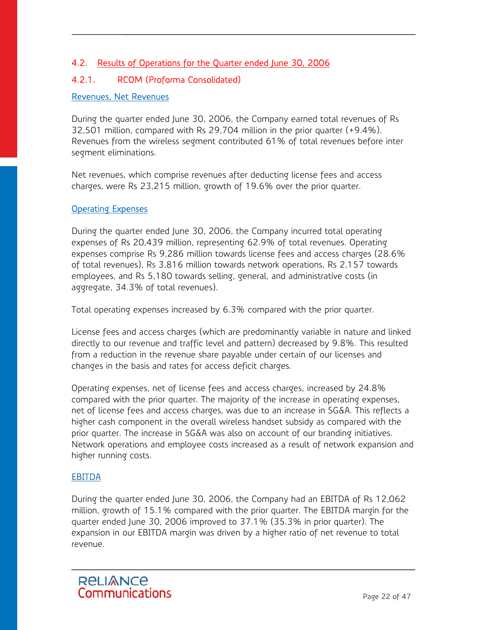# 4.2. Results of Operations for the Quarter ended June 30, 2006

## 4.2.1. RCOM (Proforma Consolidated)

#### Revenues, Net Revenues

During the quarter ended June 30, 2006, the Company earned total revenues of Rs 32,501 million, compared with Rs 29,704 million in the prior quarter (+9.4%). Revenues from the wireless segment contributed 61% of total revenues before inter segment eliminations.

Net revenues, which comprise revenues after deducting license fees and access charges, were Rs 23,215 million, growth of 19.6% over the prior quarter.

#### **Operating Expenses**

During the quarter ended June 30, 2006, the Company incurred total operating expenses of Rs 20,439 million, representing 62.9% of total revenues. Operating expenses comprise Rs 9,286 million towards license fees and access charges (28.6% of total revenues), Rs 3,816 million towards network operations, Rs 2,157 towards employees, and Rs 5,180 towards selling, general, and administrative costs (in aggregate, 34.3% of total revenues).

Total operating expenses increased by 6.3% compared with the prior quarter.

License fees and access charges (which are predominantly variable in nature and linked directly to our revenue and traffic level and pattern) decreased by 9.8%. This resulted from a reduction in the revenue share payable under certain of our licenses and changes in the basis and rates for access deficit charges.

Operating expenses, net of license fees and access charges, increased by 24.8% compared with the prior quarter. The majority of the increase in operating expenses, net of license fees and access charges, was due to an increase in SG&A. This reflects a higher cash component in the overall wireless handset subsidy as compared with the prior quarter. The increase in SG&A was also on account of our branding initiatives. Network operations and employee costs increased as a result of network expansion and higher running costs.

#### EBITDA

During the quarter ended June 30, 2006, the Company had an EBITDA of Rs 12,062 million, growth of 15.1% compared with the prior quarter. The EBITDA margin for the quarter ended June 30, 2006 improved to 37.1% (35.3% in prior quarter). The expansion in our EBITDA margin was driven by a higher ratio of net revenue to total revenue.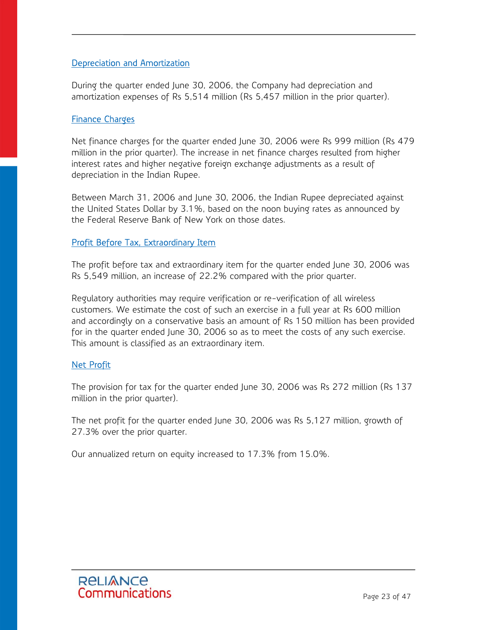#### Depreciation and Amortization

During the quarter ended June 30, 2006, the Company had depreciation and amortization expenses of Rs 5,514 million (Rs 5,457 million in the prior quarter).

#### Finance Charges

Net finance charges for the quarter ended June 30, 2006 were Rs 999 million (Rs 479 million in the prior quarter). The increase in net finance charges resulted from higher interest rates and higher negative foreign exchange adjustments as a result of depreciation in the Indian Rupee.

Between March 31, 2006 and June 30, 2006, the Indian Rupee depreciated against the United States Dollar by 3.1%, based on the noon buying rates as announced by the Federal Reserve Bank of New York on those dates.

#### Profit Before Tax, Extraordinary Item

The profit before tax and extraordinary item for the quarter ended June 30, 2006 was Rs 5,549 million, an increase of 22.2% compared with the prior quarter.

Regulatory authorities may require verification or re-verification of all wireless customers. We estimate the cost of such an exercise in a full year at Rs 600 million and accordingly on a conservative basis an amount of Rs 150 million has been provided for in the quarter ended June 30, 2006 so as to meet the costs of any such exercise. This amount is classified as an extraordinary item.

#### Net Profit

The provision for tax for the quarter ended June 30, 2006 was Rs 272 million (Rs 137 million in the prior quarter).

The net profit for the quarter ended June 30, 2006 was Rs 5,127 million, growth of 27.3% over the prior quarter.

Our annualized return on equity increased to 17.3% from 15.0%.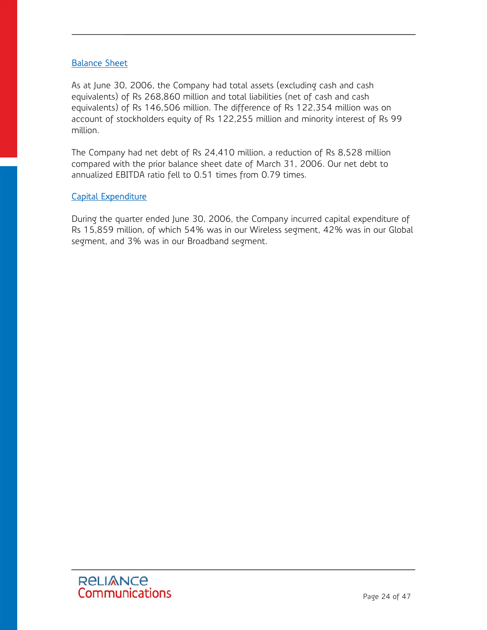#### Balance Sheet

As at June 30, 2006, the Company had total assets (excluding cash and cash equivalents) of Rs 268,860 million and total liabilities (net of cash and cash equivalents) of Rs 146,506 million. The difference of Rs 122,354 million was on account of stockholders equity of Rs 122,255 million and minority interest of Rs 99 million.

The Company had net debt of Rs 24,410 million, a reduction of Rs 8,528 million compared with the prior balance sheet date of March 31, 2006. Our net debt to annualized EBITDA ratio fell to 0.51 times from 0.79 times.

#### Capital Expenditure

During the quarter ended June 30, 2006, the Company incurred capital expenditure of Rs 15,859 million, of which 54% was in our Wireless segment, 42% was in our Global segment, and 3% was in our Broadband segment.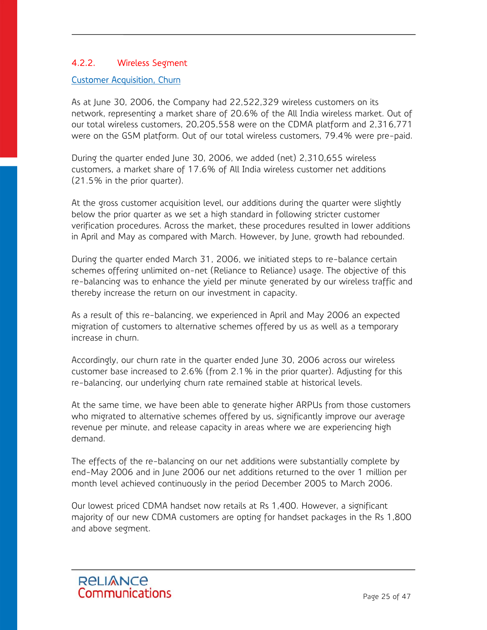#### 4.2.2. Wireless Segment

#### Customer Acquisition, Churn

As at June 30, 2006, the Company had 22,522,329 wireless customers on its network, representing a market share of 20.6% of the All India wireless market. Out of our total wireless customers, 20,205,558 were on the CDMA platform and 2,316,771 were on the GSM platform. Out of our total wireless customers, 79.4% were pre-paid.

During the quarter ended June 30, 2006, we added (net) 2,310,655 wireless customers, a market share of 17.6% of All India wireless customer net additions (21.5% in the prior quarter).

At the gross customer acquisition level, our additions during the quarter were slightly below the prior quarter as we set a high standard in following stricter customer verification procedures. Across the market, these procedures resulted in lower additions in April and May as compared with March. However, by June, growth had rebounded.

During the quarter ended March 31, 2006, we initiated steps to re-balance certain schemes offering unlimited on-net (Reliance to Reliance) usage. The objective of this re-balancing was to enhance the yield per minute generated by our wireless traffic and thereby increase the return on our investment in capacity.

As a result of this re-balancing, we experienced in April and May 2006 an expected migration of customers to alternative schemes offered by us as well as a temporary increase in churn.

Accordingly, our churn rate in the quarter ended June 30, 2006 across our wireless customer base increased to 2.6% (from 2.1% in the prior quarter). Adjusting for this re-balancing, our underlying churn rate remained stable at historical levels.

At the same time, we have been able to generate higher ARPUs from those customers who migrated to alternative schemes offered by us, significantly improve our average revenue per minute, and release capacity in areas where we are experiencing high demand.

The effects of the re-balancing on our net additions were substantially complete by end-May 2006 and in June 2006 our net additions returned to the over 1 million per month level achieved continuously in the period December 2005 to March 2006.

Our lowest priced CDMA handset now retails at Rs 1,400. However, a significant majority of our new CDMA customers are opting for handset packages in the Rs 1,800 and above segment.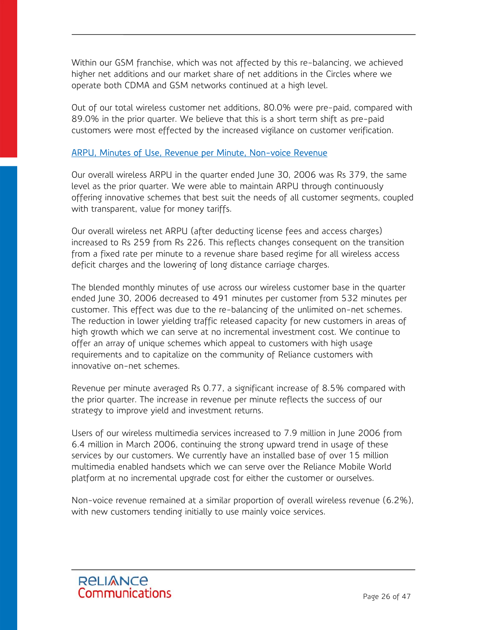Within our GSM franchise, which was not affected by this re-balancing, we achieved higher net additions and our market share of net additions in the Circles where we operate both CDMA and GSM networks continued at a high level.

Out of our total wireless customer net additions, 80.0% were pre-paid, compared with 89.0% in the prior quarter. We believe that this is a short term shift as pre-paid customers were most effected by the increased vigilance on customer verification.

#### ARPU, Minutes of Use, Revenue per Minute, Non-voice Revenue

Our overall wireless ARPU in the quarter ended June 30, 2006 was Rs 379, the same level as the prior quarter. We were able to maintain ARPU through continuously offering innovative schemes that best suit the needs of all customer segments, coupled with transparent, value for money tariffs.

Our overall wireless net ARPU (after deducting license fees and access charges) increased to Rs 259 from Rs 226. This reflects changes consequent on the transition from a fixed rate per minute to a revenue share based regime for all wireless access deficit charges and the lowering of long distance carriage charges.

The blended monthly minutes of use across our wireless customer base in the quarter ended June 30, 2006 decreased to 491 minutes per customer from 532 minutes per customer. This effect was due to the re-balancing of the unlimited on-net schemes. The reduction in lower yielding traffic released capacity for new customers in areas of high growth which we can serve at no incremental investment cost. We continue to offer an array of unique schemes which appeal to customers with high usage requirements and to capitalize on the community of Reliance customers with innovative on-net schemes.

Revenue per minute averaged Rs 0.77, a significant increase of 8.5% compared with the prior quarter. The increase in revenue per minute reflects the success of our strategy to improve yield and investment returns.

Users of our wireless multimedia services increased to 7.9 million in June 2006 from 6.4 million in March 2006, continuing the strong upward trend in usage of these services by our customers. We currently have an installed base of over 15 million multimedia enabled handsets which we can serve over the Reliance Mobile World platform at no incremental upgrade cost for either the customer or ourselves.

Non-voice revenue remained at a similar proportion of overall wireless revenue (6.2%), with new customers tending initially to use mainly voice services.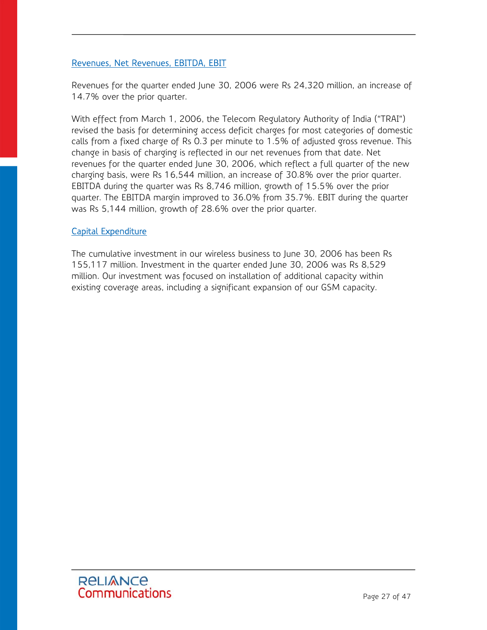#### Revenues, Net Revenues, EBITDA, EBIT

Revenues for the quarter ended June 30, 2006 were Rs 24,320 million, an increase of 14.7% over the prior quarter.

With effect from March 1, 2006, the Telecom Regulatory Authority of India ("TRAI") revised the basis for determining access deficit charges for most categories of domestic calls from a fixed charge of Rs 0.3 per minute to 1.5% of adjusted gross revenue. This change in basis of charging is reflected in our net revenues from that date. Net revenues for the quarter ended June 30, 2006, which reflect a full quarter of the new charging basis, were Rs 16,544 million, an increase of 30.8% over the prior quarter. EBITDA during the quarter was Rs 8,746 million, growth of 15.5% over the prior quarter. The EBITDA margin improved to 36.0% from 35.7%. EBIT during the quarter was Rs 5,144 million, growth of 28.6% over the prior quarter.

#### Capital Expenditure

The cumulative investment in our wireless business to June 30, 2006 has been Rs 155,117 million. Investment in the quarter ended June 30, 2006 was Rs 8,529 million. Our investment was focused on installation of additional capacity within existing coverage areas, including a significant expansion of our GSM capacity.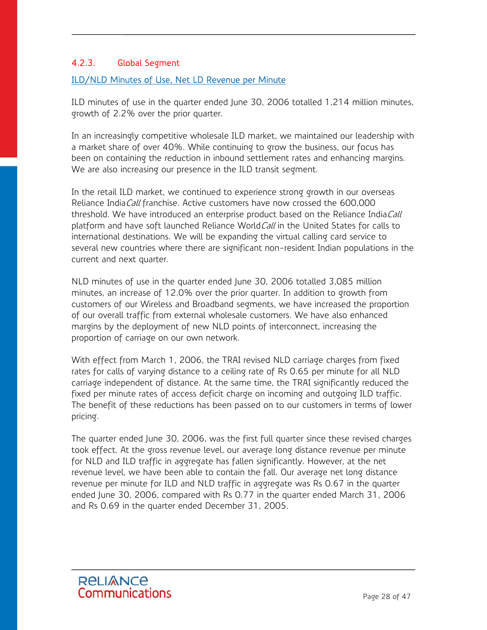## 4.2.3. Global Segment

#### ILD/NLD Minutes of Use, Net LD Revenue per Minute

ILD minutes of use in the quarter ended June 30, 2006 totalled 1,214 million minutes, growth of 2.2% over the prior quarter.

In an increasingly competitive wholesale ILD market, we maintained our leadership with a market share of over 40%. While continuing to grow the business, our focus has been on containing the reduction in inbound settlement rates and enhancing margins. We are also increasing our presence in the ILD transit segment.

In the retail ILD market, we continued to experience strong growth in our overseas Reliance India *Call* franchise. Active customers have now crossed the 600,000 threshold. We have introduced an enterprise product based on the Reliance India Call platform and have soft launched Reliance World*Call* in the United States for calls to international destinations. We will be expanding the virtual calling card service to several new countries where there are significant non-resident Indian populations in the current and next quarter.

NLD minutes of use in the quarter ended June 30, 2006 totalled 3,085 million minutes, an increase of 12.0% over the prior quarter. In addition to growth from customers of our Wireless and Broadband segments, we have increased the proportion of our overall traffic from external wholesale customers. We have also enhanced margins by the deployment of new NLD points of interconnect, increasing the proportion of carriage on our own network.

With effect from March 1, 2006, the TRAI revised NLD carriage charges from fixed rates for calls of varying distance to a ceiling rate of Rs 0.65 per minute for all NLD carriage independent of distance. At the same time, the TRAI significantly reduced the fixed per minute rates of access deficit charge on incoming and outgoing ILD traffic. The benefit of these reductions has been passed on to our customers in terms of lower pricing.

The quarter ended June 30, 2006, was the first full quarter since these revised charges took effect. At the gross revenue level, our average long distance revenue per minute for NLD and ILD traffic in aggregate has fallen significantly. However, at the net revenue level, we have been able to contain the fall. Our average net long distance revenue per minute for ILD and NLD traffic in aggregate was Rs 0.67 in the quarter ended June 30, 2006, compared with Rs 0.77 in the quarter ended March 31, 2006 and Rs 0.69 in the quarter ended December 31, 2005.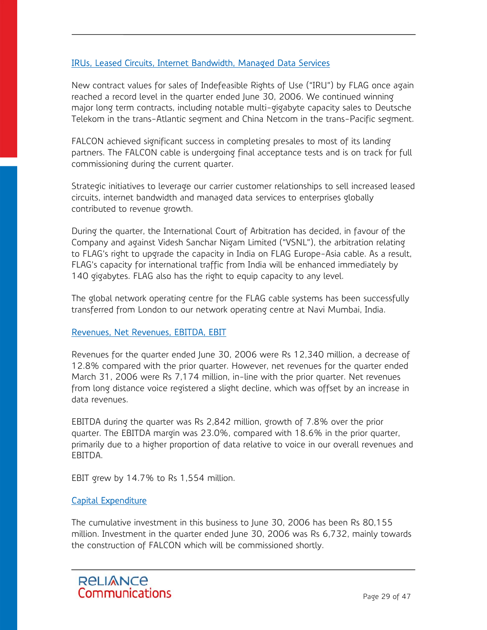#### IRUs, Leased Circuits, Internet Bandwidth, Managed Data Services

New contract values for sales of Indefeasible Rights of Use ("IRU") by FLAG once again reached a record level in the quarter ended June 30, 2006. We continued winning major long term contracts, including notable multi-gigabyte capacity sales to Deutsche Telekom in the trans-Atlantic segment and China Netcom in the trans-Pacific segment.

FALCON achieved significant success in completing presales to most of its landing partners. The FALCON cable is undergoing final acceptance tests and is on track for full commissioning during the current quarter.

Strategic initiatives to leverage our carrier customer relationships to sell increased leased circuits, internet bandwidth and managed data services to enterprises globally contributed to revenue growth.

During the quarter, the International Court of Arbitration has decided, in favour of the Company and against Videsh Sanchar Nigam Limited ("VSNL"), the arbitration relating to FLAG's right to upgrade the capacity in India on FLAG Europe-Asia cable. As a result, FLAG's capacity for international traffic from India will be enhanced immediately by 140 gigabytes. FLAG also has the right to equip capacity to any level.

The global network operating centre for the FLAG cable systems has been successfully transferred from London to our network operating centre at Navi Mumbai, India.

#### Revenues, Net Revenues, EBITDA, EBIT

Revenues for the quarter ended June 30, 2006 were Rs 12,340 million, a decrease of 12.8% compared with the prior quarter. However, net revenues for the quarter ended March 31, 2006 were Rs 7,174 million, in-line with the prior quarter. Net revenues from long distance voice registered a slight decline, which was offset by an increase in data revenues.

EBITDA during the quarter was Rs 2,842 million, growth of 7.8% over the prior quarter. The EBITDA margin was 23.0%, compared with 18.6% in the prior quarter, primarily due to a higher proportion of data relative to voice in our overall revenues and EBITDA.

EBIT grew by 14.7% to Rs 1,554 million.

#### Capital Expenditure

The cumulative investment in this business to June 30, 2006 has been Rs 80,155 million. Investment in the quarter ended June 30, 2006 was Rs 6,732, mainly towards the construction of FALCON which will be commissioned shortly.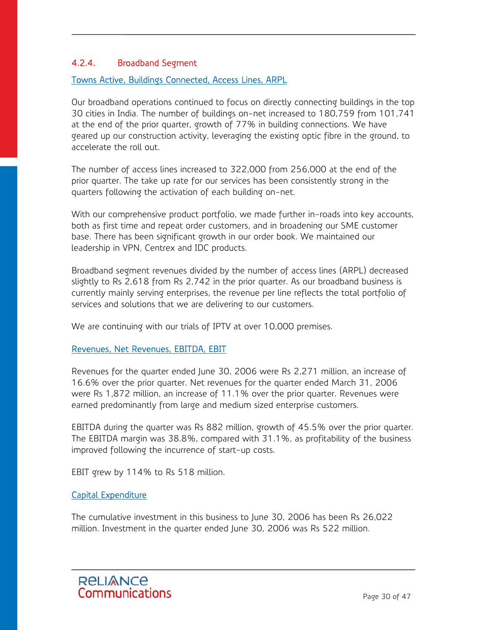## 4.2.4. Broadband Segment

#### Towns Active, Buildings Connected, Access Lines, ARPL

Our broadband operations continued to focus on directly connecting buildings in the top 30 cities in India. The number of buildings on-net increased to 180,759 from 101,741 at the end of the prior quarter, growth of 77% in building connections. We have geared up our construction activity, leveraging the existing optic fibre in the ground, to accelerate the roll out.

The number of access lines increased to 322,000 from 256,000 at the end of the prior quarter. The take up rate for our services has been consistently strong in the quarters following the activation of each building on-net.

With our comprehensive product portfolio, we made further in-roads into key accounts, both as first time and repeat order customers, and in broadening our SME customer base. There has been significant growth in our order book. We maintained our leadership in VPN, Centrex and IDC products.

Broadband segment revenues divided by the number of access lines (ARPL) decreased slightly to Rs 2,618 from Rs 2,742 in the prior quarter. As our broadband business is currently mainly serving enterprises, the revenue per line reflects the total portfolio of services and solutions that we are delivering to our customers.

We are continuing with our trials of IPTV at over 10,000 premises.

#### Revenues, Net Revenues, EBITDA, EBIT

Revenues for the quarter ended June 30, 2006 were Rs 2,271 million, an increase of 16.6% over the prior quarter. Net revenues for the quarter ended March 31, 2006 were Rs 1,872 million, an increase of 11.1% over the prior quarter. Revenues were earned predominantly from large and medium sized enterprise customers.

EBITDA during the quarter was Rs 882 million, growth of 45.5% over the prior quarter. The EBITDA margin was 38.8%, compared with 31.1%, as profitability of the business improved following the incurrence of start-up costs.

EBIT grew by 114% to Rs 518 million.

#### Capital Expenditure

The cumulative investment in this business to June 30, 2006 has been Rs 26,022 million. Investment in the quarter ended June 30, 2006 was Rs 522 million.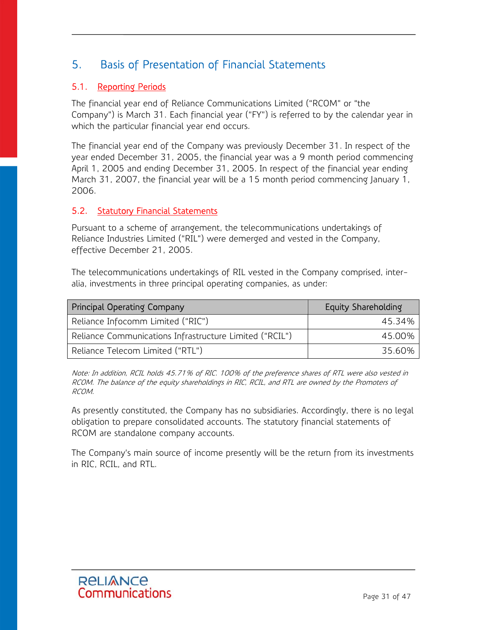# 5. Basis of Presentation of Financial Statements

## 5.1. Reporting Periods

The financial year end of Reliance Communications Limited ("RCOM" or "the Company") is March 31. Each financial year ("FY") is referred to by the calendar year in which the particular financial year end occurs.

The financial year end of the Company was previously December 31. In respect of the year ended December 31, 2005, the financial year was a 9 month period commencing April 1, 2005 and ending December 31, 2005. In respect of the financial year ending March 31, 2007, the financial year will be a 15 month period commencing January 1, 2006.

#### 5.2. Statutory Financial Statements

Pursuant to a scheme of arrangement, the telecommunications undertakings of Reliance Industries Limited ("RIL") were demerged and vested in the Company, effective December 21, 2005.

The telecommunications undertakings of RIL vested in the Company comprised, interalia, investments in three principal operating companies, as under:

| Principal Operating Company                             | Equity Shareholding |
|---------------------------------------------------------|---------------------|
| Reliance Infocomm Limited ("RIC")                       | 45.34%              |
| Reliance Communications Infrastructure Limited ("RCIL") | 45.00%              |
| Reliance Telecom Limited ("RTL")                        | 35.60%              |

Note: In addition, RCIL holds 45.71% of RIC. 100% of the preference shares of RTL were also vested in RCOM. The balance of the equity shareholdings in RIC, RCIL, and RTL are owned by the Promoters of RCOM.

As presently constituted, the Company has no subsidiaries. Accordingly, there is no legal obligation to prepare consolidated accounts. The statutory financial statements of RCOM are standalone company accounts.

The Company's main source of income presently will be the return from its investments in RIC, RCIL, and RTL.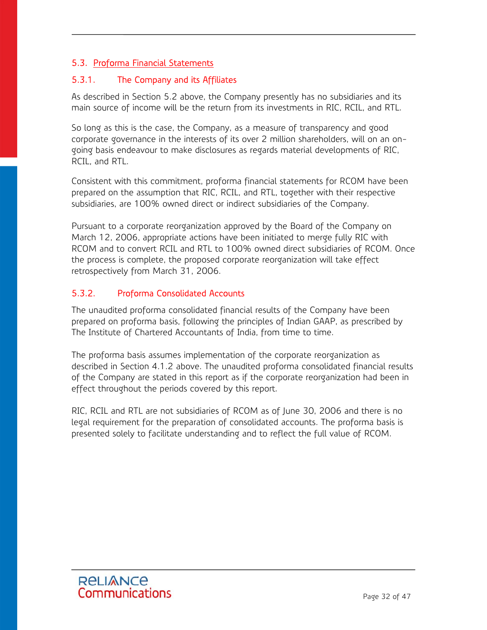# 5.3. Proforma Financial Statements

#### 5.3.1. The Company and its Affiliates

As described in Section 5.2 above, the Company presently has no subsidiaries and its main source of income will be the return from its investments in RIC, RCIL, and RTL.

So long as this is the case, the Company, as a measure of transparency and good corporate governance in the interests of its over 2 million shareholders, will on an ongoing basis endeavour to make disclosures as regards material developments of RIC, RCIL, and RTL.

Consistent with this commitment, proforma financial statements for RCOM have been prepared on the assumption that RIC, RCIL, and RTL, together with their respective subsidiaries, are 100% owned direct or indirect subsidiaries of the Company.

Pursuant to a corporate reorganization approved by the Board of the Company on March 12, 2006, appropriate actions have been initiated to merge fully RIC with RCOM and to convert RCIL and RTL to 100% owned direct subsidiaries of RCOM. Once the process is complete, the proposed corporate reorganization will take effect retrospectively from March 31, 2006.

## 5.3.2. Proforma Consolidated Accounts

The unaudited proforma consolidated financial results of the Company have been prepared on proforma basis, following the principles of Indian GAAP, as prescribed by The Institute of Chartered Accountants of India, from time to time.

The proforma basis assumes implementation of the corporate reorganization as described in Section 4.1.2 above. The unaudited proforma consolidated financial results of the Company are stated in this report as if the corporate reorganization had been in effect throughout the periods covered by this report.

RIC, RCIL and RTL are not subsidiaries of RCOM as of June 30, 2006 and there is no legal requirement for the preparation of consolidated accounts. The proforma basis is presented solely to facilitate understanding and to reflect the full value of RCOM.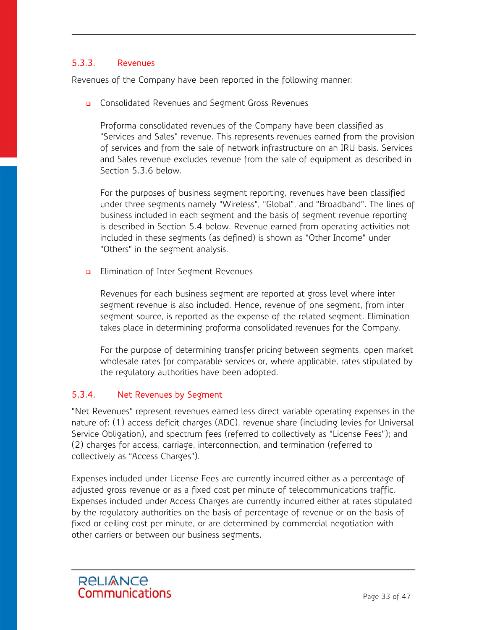## 5.3.3. Revenues

Revenues of the Company have been reported in the following manner:

**Q** Consolidated Revenues and Segment Gross Revenues

Proforma consolidated revenues of the Company have been classified as "Services and Sales" revenue. This represents revenues earned from the provision of services and from the sale of network infrastructure on an IRU basis. Services and Sales revenue excludes revenue from the sale of equipment as described in Section 5.3.6 below.

For the purposes of business segment reporting, revenues have been classified under three segments namely "Wireless", "Global", and "Broadband". The lines of business included in each segment and the basis of segment revenue reporting is described in Section 5.4 below. Revenue earned from operating activities not included in these segments (as defined) is shown as "Other Income" under "Others" in the segment analysis.

**Elimination of Inter Segment Revenues** 

Revenues for each business segment are reported at gross level where inter segment revenue is also included. Hence, revenue of one segment, from inter segment source, is reported as the expense of the related segment. Elimination takes place in determining proforma consolidated revenues for the Company.

For the purpose of determining transfer pricing between segments, open market wholesale rates for comparable services or, where applicable, rates stipulated by the regulatory authorities have been adopted.

### 5.3.4. Net Revenues by Segment

"Net Revenues" represent revenues earned less direct variable operating expenses in the nature of: (1) access deficit charges (ADC), revenue share (including levies for Universal Service Obligation), and spectrum fees (referred to collectively as "License Fees"); and (2) charges for access, carriage, interconnection, and termination (referred to collectively as "Access Charges").

Expenses included under License Fees are currently incurred either as a percentage of adjusted gross revenue or as a fixed cost per minute of telecommunications traffic. Expenses included under Access Charges are currently incurred either at rates stipulated by the regulatory authorities on the basis of percentage of revenue or on the basis of fixed or ceiling cost per minute, or are determined by commercial negotiation with other carriers or between our business segments.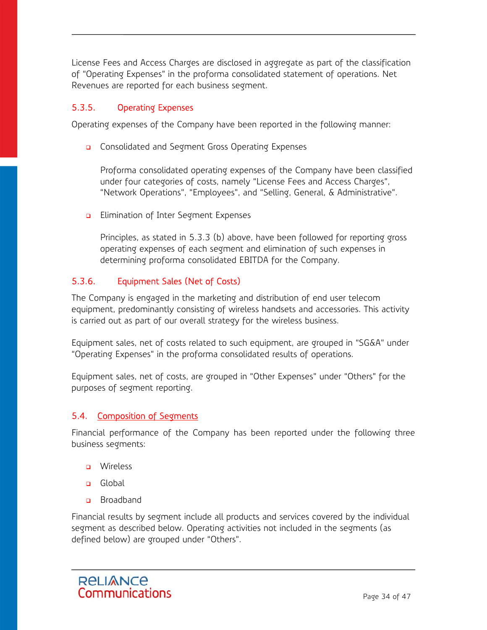License Fees and Access Charges are disclosed in aggregate as part of the classification of "Operating Expenses" in the proforma consolidated statement of operations. Net Revenues are reported for each business segment.

## 5.3.5. Operating Expenses

Operating expenses of the Company have been reported in the following manner:

**Q** Consolidated and Segment Gross Operating Expenses

Proforma consolidated operating expenses of the Company have been classified under four categories of costs, namely "License Fees and Access Charges", "Network Operations", "Employees", and "Selling, General, & Administrative".

**B** Elimination of Inter Segment Expenses

Principles, as stated in 5.3.3 (b) above, have been followed for reporting gross operating expenses of each segment and elimination of such expenses in determining proforma consolidated EBITDA for the Company.

## 5.3.6. Equipment Sales (Net of Costs)

The Company is engaged in the marketing and distribution of end user telecom equipment, predominantly consisting of wireless handsets and accessories. This activity is carried out as part of our overall strategy for the wireless business.

Equipment sales, net of costs related to such equipment, are grouped in "SG&A" under "Operating Expenses" in the proforma consolidated results of operations.

Equipment sales, net of costs, are grouped in "Other Expenses" under "Others" for the purposes of segment reporting.

#### 5.4. Composition of Segments

Financial performance of the Company has been reported under the following three business segments:

- **D** Wireless
- **n** Global
- **a** Broadband

Financial results by segment include all products and services covered by the individual segment as described below. Operating activities not included in the segments (as defined below) are grouped under "Others".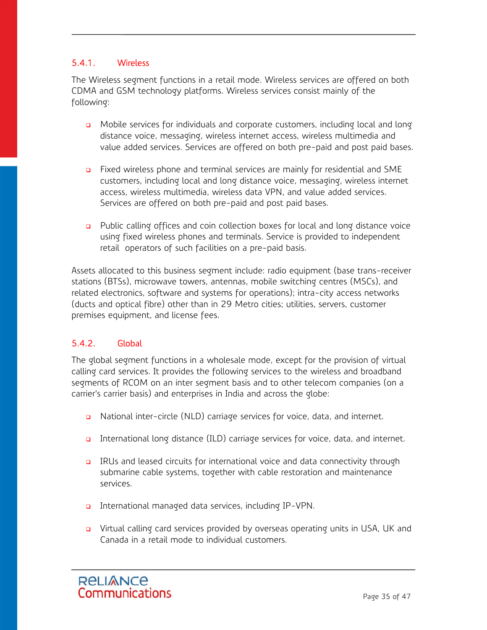# 5.4.1. Wireless

The Wireless segment functions in a retail mode. Wireless services are offered on both CDMA and GSM technology platforms. Wireless services consist mainly of the following:

- Mobile services for individuals and corporate customers, including local and long distance voice, messaging, wireless internet access, wireless multimedia and value added services. Services are offered on both pre-paid and post paid bases.
- Fixed wireless phone and terminal services are mainly for residential and SME customers, including local and long distance voice, messaging, wireless internet access, wireless multimedia, wireless data VPN, and value added services. Services are offered on both pre-paid and post paid bases.
- Public calling offices and coin collection boxes for local and long distance voice using fixed wireless phones and terminals. Service is provided to independent retail operators of such facilities on a pre-paid basis.

Assets allocated to this business segment include: radio equipment (base trans-receiver stations (BTSs), microwave towers, antennas, mobile switching centres (MSCs), and related electronics, software and systems for operations); intra-city access networks (ducts and optical fibre) other than in 29 Metro cities; utilities, servers, customer premises equipment, and license fees.

## 5.4.2. Global

The global segment functions in a wholesale mode, except for the provision of virtual calling card services. It provides the following services to the wireless and broadband segments of RCOM on an inter segment basis and to other telecom companies (on a carrier's carrier basis) and enterprises in India and across the globe:

- □ National inter-circle (NLD) carriage services for voice, data, and internet.
- International long distance (ILD) carriage services for voice, data, and internet.
- IRUs and leased circuits for international voice and data connectivity through submarine cable systems, together with cable restoration and maintenance services.
- International managed data services, including IP-VPN.
- **D** Virtual calling card services provided by overseas operating units in USA, UK and Canada in a retail mode to individual customers.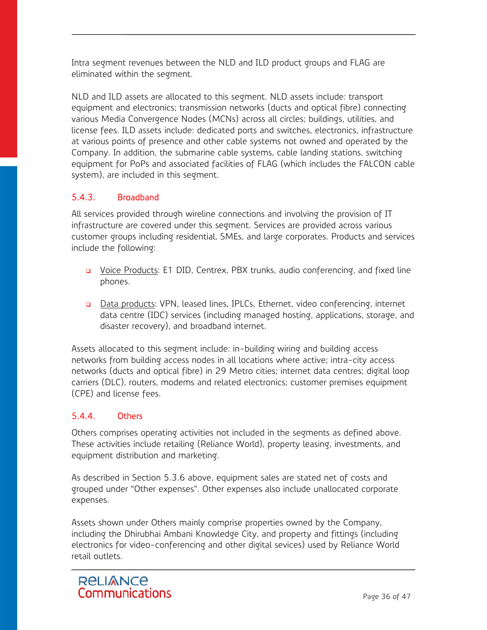Intra segment revenues between the NLD and ILD product groups and FLAG are eliminated within the segment.

NLD and ILD assets are allocated to this segment. NLD assets include: transport equipment and electronics; transmission networks (ducts and optical fibre) connecting various Media Convergence Nodes (MCNs) across all circles; buildings, utilities, and license fees. ILD assets include: dedicated ports and switches, electronics, infrastructure at various points of presence and other cable systems not owned and operated by the Company. In addition, the submarine cable systems, cable landing stations, switching equipment for PoPs and associated facilities of FLAG (which includes the FALCON cable system), are included in this segment.

# 5.4.3. Broadband

All services provided through wireline connections and involving the provision of IT infrastructure are covered under this segment. Services are provided across various customer groups including residential, SMEs, and large corporates. Products and services include the following:

- Voice Products: E1 DID, Centrex, PBX trunks, audio conferencing, and fixed line phones.
- Data products: VPN, leased lines, IPLCs, Ethernet, video conferencing, internet data centre (IDC) services (including managed hosting, applications, storage, and disaster recovery), and broadband internet.

Assets allocated to this segment include: in-building wiring and building access networks from building access nodes in all locations where active; intra-city access networks (ducts and optical fibre) in 29 Metro cities; internet data centres; digital loop carriers (DLC), routers, modems and related electronics; customer premises equipment (CPE) and license fees.

## 5.4.4. Others

Others comprises operating activities not included in the segments as defined above. These activities include retailing (Reliance World), property leasing, investments, and equipment distribution and marketing.

As described in Section 5.3.6 above, equipment sales are stated net of costs and grouped under "Other expenses". Other expenses also include unallocated corporate expenses.

Assets shown under Others mainly comprise properties owned by the Company, including the Dhirubhai Ambani Knowledge City, and property and fittings (including electronics for video-conferencing and other digital sevices) used by Reliance World retail outlets.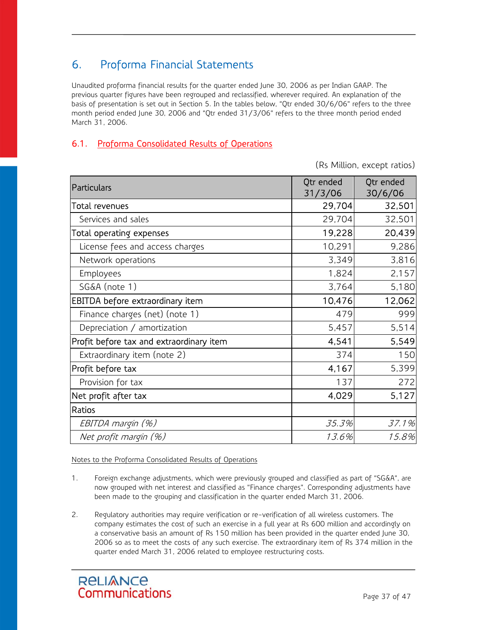# 6. Proforma Financial Statements

Unaudited proforma financial results for the quarter ended June 30, 2006 as per Indian GAAP. The previous quarter figures have been regrouped and reclassified, wherever required. An explanation of the basis of presentation is set out in Section 5. In the tables below, "Qtr ended 30/6/06" refers to the three month period ended June 30, 2006 and "Qtr ended 31/3/06" refers to the three month period ended March 31, 2006.

# 6.1. Proforma Consolidated Results of Operations

(Rs Million, except ratios)

| Particulars                              | Qtr ended<br>31/3/06 | Qtr ended<br>30/6/06 |
|------------------------------------------|----------------------|----------------------|
| Total revenues                           | 29,704               | 32,501               |
| Services and sales                       | 29,704               | 32,501               |
| Total operating expenses                 | 19,228               | 20,439               |
| License fees and access charges          | 10,291               | 9,286                |
| Network operations                       | 3,349                | 3,816                |
| Employees                                | 1,824                | 2,157                |
| SG&A (note 1)                            | 3,764                | 5,180                |
| EBITDA before extraordinary item         | 10,476               | 12,062               |
| Finance charges (net) (note 1)           | 479                  | 999                  |
| Depreciation / amortization              | 5,457                | 5,514                |
| Profit before tax and extraordinary item | 4,541                | 5,549                |
| Extraordinary item (note 2)              | 374                  | 150                  |
| Profit before tax                        | 4,167                | 5,399                |
| Provision for tax                        | 137                  | 272                  |
| Net profit after tax                     | 4,029                | 5,127                |
| Ratios                                   |                      |                      |
| EBITDA margin (%)                        | 35.3%                | 37.1%                |
| Net profit margin (%)                    | 13.6%                | 15.8%                |

#### Notes to the Proforma Consolidated Results of Operations

- 1. Foreign exchange adjustments, which were previously grouped and classified as part of "SG&A", are now grouped with net interest and classified as "Finance charges". Corresponding adjustments have been made to the grouping and classification in the quarter ended March 31, 2006.
- 2. Regulatory authorities may require verification or re-verification of all wireless customers. The company estimates the cost of such an exercise in a full year at Rs 600 million and accordingly on a conservative basis an amount of Rs 150 million has been provided in the quarter ended June 30, 2006 so as to meet the costs of any such exercise. The extraordinary item of Rs 374 million in the quarter ended March 31, 2006 related to employee restructuring costs.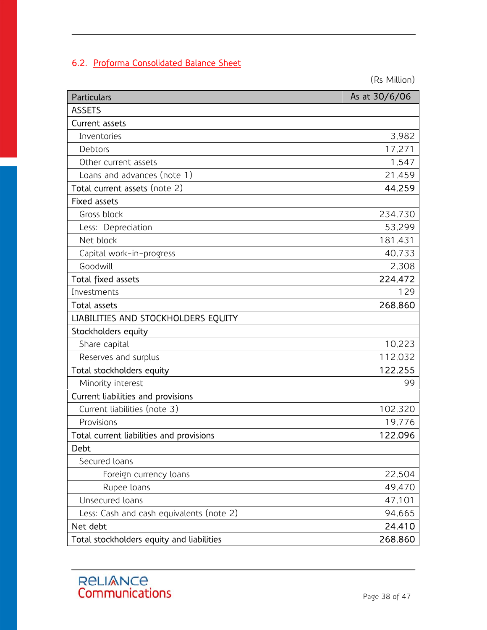# 6.2. Proforma Consolidated Balance Sheet

(Rs Million)

| <b>Particulars</b>                        | As at 30/6/06 |
|-------------------------------------------|---------------|
| <b>ASSETS</b>                             |               |
| Current assets                            |               |
| Inventories                               | 3,982         |
| Debtors                                   | 17,271        |
| Other current assets                      | 1,547         |
| Loans and advances (note 1)               | 21,459        |
| Total current assets (note 2)             | 44,259        |
| <b>Fixed assets</b>                       |               |
| Gross block                               | 234,730       |
| Less: Depreciation                        | 53,299        |
| Net block                                 | 181,431       |
| Capital work-in-progress                  | 40,733        |
| Goodwill                                  | 2,308         |
| Total fixed assets                        | 224,472       |
| Investments                               | 129           |
| <b>Total assets</b>                       | 268,860       |
| LIABILITIES AND STOCKHOLDERS EQUITY       |               |
| Stockholders equity                       |               |
| Share capital                             | 10,223        |
| Reserves and surplus                      | 112,032       |
| Total stockholders equity                 | 122,255       |
| Minority interest                         | 99            |
| Current liabilities and provisions        |               |
| Current liabilities (note 3)              | 102,320       |
| Provisions                                | 19,776        |
| Total current liabilities and provisions  | 122,096       |
| Debt                                      |               |
| Secured loans                             |               |
| Foreign currency loans                    | 22,504        |
| Rupee loans                               | 49,470        |
| Unsecured loans                           | 47,101        |
| Less: Cash and cash equivalents (note 2)  | 94,665        |
| Net debt                                  | 24,410        |
| Total stockholders equity and liabilities | 268,860       |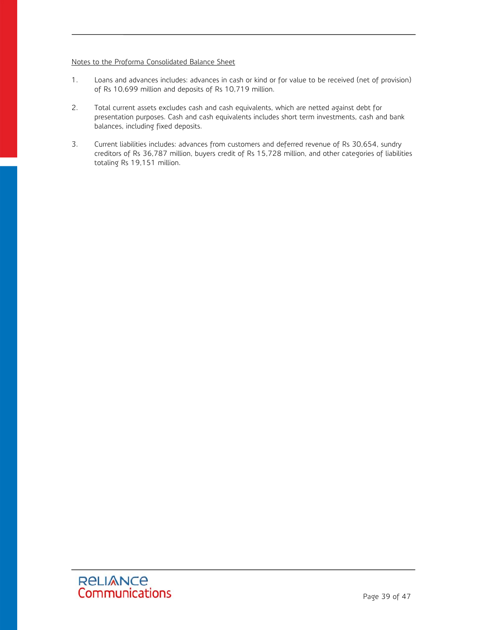#### Notes to the Proforma Consolidated Balance Sheet

- 1. Loans and advances includes: advances in cash or kind or for value to be received (net of provision) of Rs 10,699 million and deposits of Rs 10,719 million.
- 2. Total current assets excludes cash and cash equivalents, which are netted against debt for presentation purposes. Cash and cash equivalents includes short term investments, cash and bank balances, including fixed deposits.
- 3. Current liabilities includes: advances from customers and deferred revenue of Rs 30,654, sundry creditors of Rs 36,787 million, buyers credit of Rs 15,728 million, and other categories of liabilities totaling Rs 19,151 million.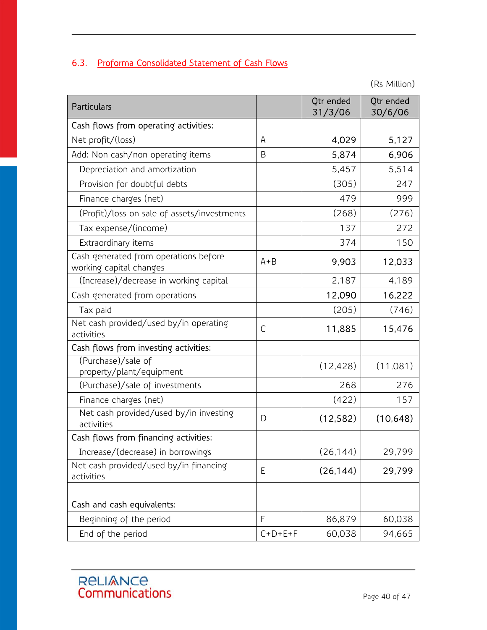# 6.3. Proforma Consolidated Statement of Cash Flows

(Rs Million)

| Particulars                                                      |           | Qtr ended<br>31/3/06 | Qtr ended<br>30/6/06 |
|------------------------------------------------------------------|-----------|----------------------|----------------------|
| Cash flows from operating activities:                            |           |                      |                      |
| Net profit/(loss)                                                | A         | 4,029                | 5,127                |
| Add: Non cash/non operating items                                | B         | 5,874                | 6,906                |
| Depreciation and amortization                                    |           | 5,457                | 5,514                |
| Provision for doubtful debts                                     |           | (305)                | 247                  |
| Finance charges (net)                                            |           | 479                  | 999                  |
| (Profit)/loss on sale of assets/investments                      |           | (268)                | (276)                |
| Tax expense/(income)                                             |           | 137                  | 272                  |
| Extraordinary items                                              |           | 374                  | 150                  |
| Cash generated from operations before<br>working capital changes | $A + B$   | 9,903                | 12,033               |
| (Increase)/decrease in working capital                           |           | 2,187                | 4,189                |
| Cash generated from operations                                   |           | 12,090               | 16,222               |
| Tax paid                                                         |           | (205)                | (746)                |
| Net cash provided/used by/in operating<br>activities             | C         | 11,885               | 15,476               |
| Cash flows from investing activities:                            |           |                      |                      |
| (Purchase)/sale of<br>property/plant/equipment                   |           | (12, 428)            | (11,081)             |
| (Purchase)/sale of investments                                   |           | 268                  | 276                  |
| Finance charges (net)                                            |           | (422)                | 157                  |
| Net cash provided/used by/in investing<br>activities             | D         | (12, 582)            | (10, 648)            |
| Cash flows from financing activities:                            |           |                      |                      |
| Increase/(decrease) in borrowings                                |           | (26, 144)            | 29,799               |
| Net cash provided/used by/in financing<br>activities             | E         | (26, 144)            | 29,799               |
| Cash and cash equivalents:                                       |           |                      |                      |
| Beginning of the period                                          | F         | 86,879               | 60,038               |
| End of the period                                                | $C+D+E+F$ | 60,038               | 94,665               |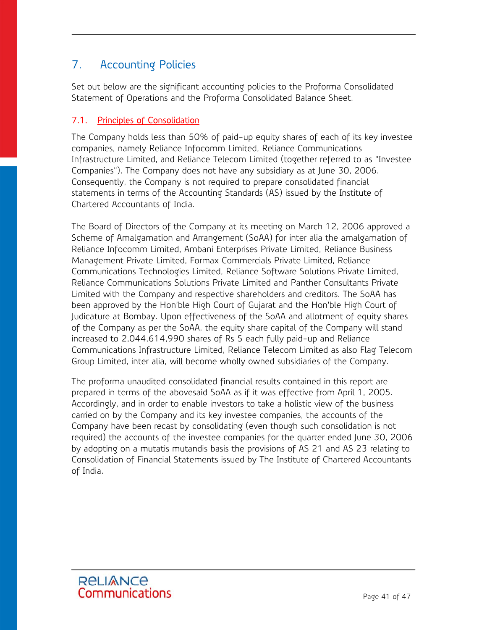# 7. Accounting Policies

Set out below are the significant accounting policies to the Proforma Consolidated Statement of Operations and the Proforma Consolidated Balance Sheet.

# 7.1. Principles of Consolidation

The Company holds less than 50% of paid-up equity shares of each of its key investee companies, namely Reliance Infocomm Limited, Reliance Communications Infrastructure Limited, and Reliance Telecom Limited (together referred to as "Investee Companies"). The Company does not have any subsidiary as at June 30, 2006. Consequently, the Company is not required to prepare consolidated financial statements in terms of the Accounting Standards (AS) issued by the Institute of Chartered Accountants of India.

The Board of Directors of the Company at its meeting on March 12, 2006 approved a Scheme of Amalgamation and Arrangement (SoAA) for inter alia the amalgamation of Reliance Infocomm Limited, Ambani Enterprises Private Limited, Reliance Business Management Private Limited, Formax Commercials Private Limited, Reliance Communications Technologies Limited, Reliance Software Solutions Private Limited, Reliance Communications Solutions Private Limited and Panther Consultants Private Limited with the Company and respective shareholders and creditors. The SoAA has been approved by the Hon'ble High Court of Gujarat and the Hon'ble High Court of Judicature at Bombay. Upon effectiveness of the SoAA and allotment of equity shares of the Company as per the SoAA, the equity share capital of the Company will stand increased to 2,044,614,990 shares of Rs 5 each fully paid-up and Reliance Communications Infrastructure Limited, Reliance Telecom Limited as also Flag Telecom Group Limited, inter alia, will become wholly owned subsidiaries of the Company.

The proforma unaudited consolidated financial results contained in this report are prepared in terms of the abovesaid SoAA as if it was effective from April 1, 2005. Accordingly, and in order to enable investors to take a holistic view of the business carried on by the Company and its key investee companies, the accounts of the Company have been recast by consolidating (even though such consolidation is not required) the accounts of the investee companies for the quarter ended June 30, 2006 by adopting on a mutatis mutandis basis the provisions of AS 21 and AS 23 relating to Consolidation of Financial Statements issued by The Institute of Chartered Accountants of India.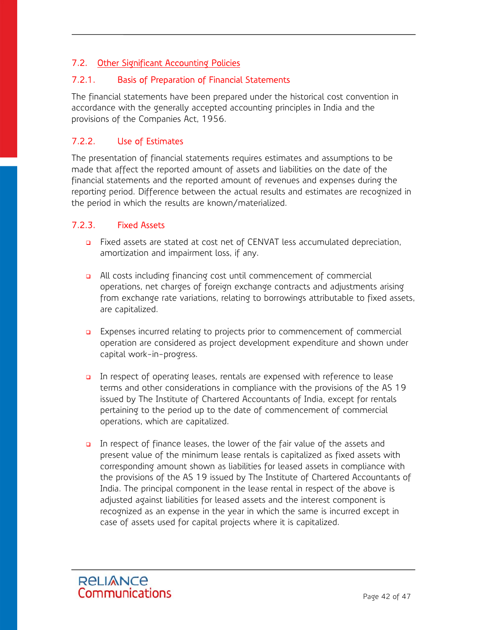# 7.2. Other Significant Accounting Policies

## 7.2.1. Basis of Preparation of Financial Statements

The financial statements have been prepared under the historical cost convention in accordance with the generally accepted accounting principles in India and the provisions of the Companies Act, 1956.

## 7.2.2. Use of Estimates

The presentation of financial statements requires estimates and assumptions to be made that affect the reported amount of assets and liabilities on the date of the financial statements and the reported amount of revenues and expenses during the reporting period. Difference between the actual results and estimates are recognized in the period in which the results are known/materialized.

## 7.2.3. Fixed Assets

- Fixed assets are stated at cost net of CENVAT less accumulated depreciation, amortization and impairment loss, if any.
- a All costs including financing cost until commencement of commercial operations, net charges of foreign exchange contracts and adjustments arising from exchange rate variations, relating to borrowings attributable to fixed assets, are capitalized.
- **Expenses incurred relating to projects prior to commencement of commercial** operation are considered as project development expenditure and shown under capital work-in-progress.
- In respect of operating leases, rentals are expensed with reference to lease terms and other considerations in compliance with the provisions of the AS 19 issued by The Institute of Chartered Accountants of India, except for rentals pertaining to the period up to the date of commencement of commercial operations, which are capitalized.
- In respect of finance leases, the lower of the fair value of the assets and present value of the minimum lease rentals is capitalized as fixed assets with corresponding amount shown as liabilities for leased assets in compliance with the provisions of the AS 19 issued by The Institute of Chartered Accountants of India. The principal component in the lease rental in respect of the above is adjusted against liabilities for leased assets and the interest component is recognized as an expense in the year in which the same is incurred except in case of assets used for capital projects where it is capitalized.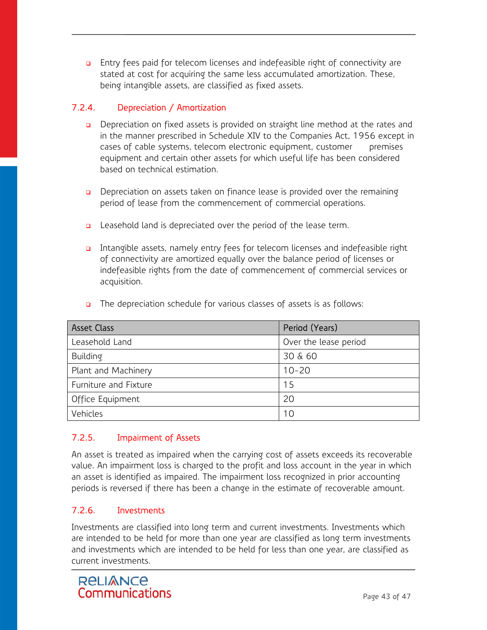Entry fees paid for telecom licenses and indefeasible right of connectivity are stated at cost for acquiring the same less accumulated amortization. These, being intangible assets, are classified as fixed assets.

# 7.2.4. Depreciation / Amortization

- Depreciation on fixed assets is provided on straight line method at the rates and in the manner prescribed in Schedule XIV to the Companies Act, 1956 except in cases of cable systems, telecom electronic equipment, customer premises equipment and certain other assets for which useful life has been considered based on technical estimation.
- Depreciation on assets taken on finance lease is provided over the remaining period of lease from the commencement of commercial operations.
- **Q** Leasehold land is depreciated over the period of the lease term.
- Intangible assets, namely entry fees for telecom licenses and indefeasible right of connectivity are amortized equally over the balance period of licenses or indefeasible rights from the date of commencement of commercial services or acquisition.

| <b>Asset Class</b>    | Period (Years)        |
|-----------------------|-----------------------|
| Leasehold Land        | Over the lease period |
| Building              | 30 & 60               |
| Plant and Machinery   | $10 - 20$             |
| Furniture and Fixture | 15                    |
| Office Equipment      | 20                    |
| Vehicles              | 10                    |

The depreciation schedule for various classes of assets is as follows:

# 7.2.5. Impairment of Assets

An asset is treated as impaired when the carrying cost of assets exceeds its recoverable value. An impairment loss is charged to the profit and loss account in the year in which an asset is identified as impaired. The impairment loss recognized in prior accounting periods is reversed if there has been a change in the estimate of recoverable amount.

# 7.2.6. Investments

Investments are classified into long term and current investments. Investments which are intended to be held for more than one year are classified as long term investments and investments which are intended to be held for less than one year, are classified as current investments.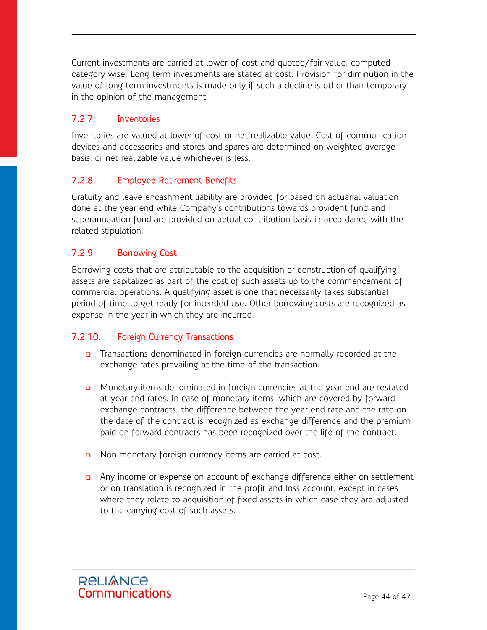Current investments are carried at lower of cost and quoted/fair value, computed category wise. Long term investments are stated at cost. Provision for diminution in the value of long term investments is made only if such a decline is other than temporary in the opinion of the management.

# 7.2.7. Inventories

Inventories are valued at lower of cost or net realizable value. Cost of communication devices and accessories and stores and spares are determined on weighted average basis, or net realizable value whichever is less.

## 7.2.8. Employee Retirement Benefits

Gratuity and leave encashment liability are provided for based on actuarial valuation done at the year end while Company's contributions towards provident fund and superannuation fund are provided on actual contribution basis in accordance with the related stipulation.

## 7.2.9. Borrowing Cost

Borrowing costs that are attributable to the acquisition or construction of qualifying assets are capitalized as part of the cost of such assets up to the commencement of commercial operations. A qualifying asset is one that necessarily takes substantial period of time to get ready for intended use. Other borrowing costs are recognized as expense in the year in which they are incurred.

# 7.2.10. Foreign Currency Transactions

- **n** Transactions denominated in foreign currencies are normally recorded at the exchange rates prevailing at the time of the transaction.
- **n** Monetary items denominated in foreign currencies at the year end are restated at year end rates. In case of monetary items, which are covered by forward exchange contracts, the difference between the year end rate and the rate on the date of the contract is recognized as exchange difference and the premium paid on forward contracts has been recognized over the life of the contract.
- n Non monetary foreign currency items are carried at cost.
- Any income or expense on account of exchange difference either on settlement or on translation is recognized in the profit and loss account, except in cases where they relate to acquisition of fixed assets in which case they are adjusted to the carrying cost of such assets.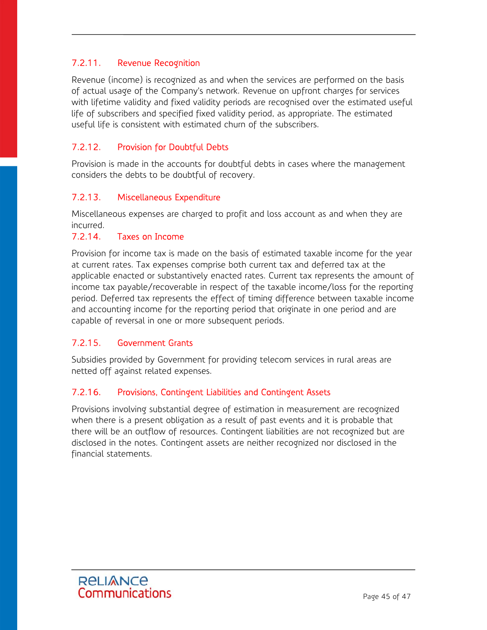## 7.2.11. Revenue Recognition

Revenue (income) is recognized as and when the services are performed on the basis of actual usage of the Company's network. Revenue on upfront charges for services with lifetime validity and fixed validity periods are recognised over the estimated useful life of subscribers and specified fixed validity period, as appropriate. The estimated useful life is consistent with estimated churn of the subscribers.

## 7.2.12. Provision for Doubtful Debts

Provision is made in the accounts for doubtful debts in cases where the management considers the debts to be doubtful of recovery.

## 7.2.13. Miscellaneous Expenditure

Miscellaneous expenses are charged to profit and loss account as and when they are incurred.

#### 7.2.14. Taxes on Income

Provision for income tax is made on the basis of estimated taxable income for the year at current rates. Tax expenses comprise both current tax and deferred tax at the applicable enacted or substantively enacted rates. Current tax represents the amount of income tax payable/recoverable in respect of the taxable income/loss for the reporting period. Deferred tax represents the effect of timing difference between taxable income and accounting income for the reporting period that originate in one period and are capable of reversal in one or more subsequent periods.

#### 7.2.15. Government Grants

Subsidies provided by Government for providing telecom services in rural areas are netted off against related expenses.

#### 7.2.16. Provisions, Contingent Liabilities and Contingent Assets

Provisions involving substantial degree of estimation in measurement are recognized when there is a present obligation as a result of past events and it is probable that there will be an outflow of resources. Contingent liabilities are not recognized but are disclosed in the notes. Contingent assets are neither recognized nor disclosed in the financial statements.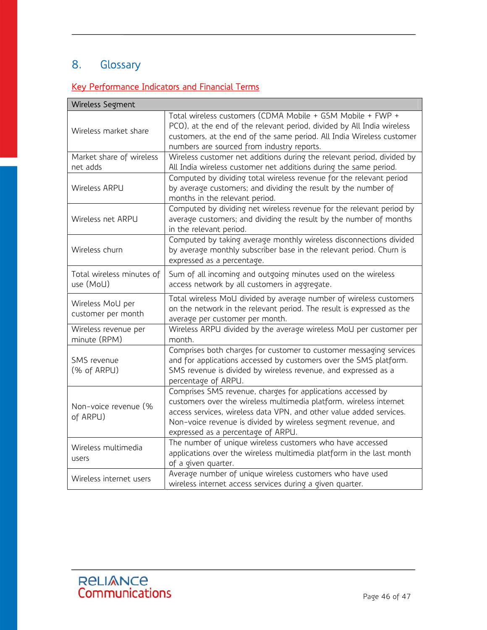# 8. Glossary

# Key Performance Indicators and Financial Terms

| Wireless Segment                       |                                                                                                                                                                                                                                                                                                                 |
|----------------------------------------|-----------------------------------------------------------------------------------------------------------------------------------------------------------------------------------------------------------------------------------------------------------------------------------------------------------------|
| Wireless market share                  | Total wireless customers (CDMA Mobile + GSM Mobile + FWP +<br>PCO), at the end of the relevant period, divided by All India wireless<br>customers, at the end of the same period. All India Wireless customer<br>numbers are sourced from industry reports.                                                     |
| Market share of wireless<br>net adds   | Wireless customer net additions during the relevant period, divided by<br>All India wireless customer net additions during the same period.                                                                                                                                                                     |
| Wireless ARPU                          | Computed by dividing total wireless revenue for the relevant period<br>by average customers; and dividing the result by the number of<br>months in the relevant period.                                                                                                                                         |
| Wireless net ARPU                      | Computed by dividing net wireless revenue for the relevant period by<br>average customers; and dividing the result by the number of months<br>in the relevant period.                                                                                                                                           |
| Wireless churn                         | Computed by taking average monthly wireless disconnections divided<br>by average monthly subscriber base in the relevant period. Churn is<br>expressed as a percentage.                                                                                                                                         |
| Total wireless minutes of<br>use (MoU) | Sum of all incoming and outgoing minutes used on the wireless<br>access network by all customers in aggregate.                                                                                                                                                                                                  |
| Wireless MoU per<br>customer per month | Total wireless MoU divided by average number of wireless customers<br>on the network in the relevant period. The result is expressed as the<br>average per customer per month.                                                                                                                                  |
| Wireless revenue per<br>minute (RPM)   | Wireless ARPU divided by the average wireless MoU per customer per<br>month.                                                                                                                                                                                                                                    |
| SMS revenue<br>(% of ARPU)             | Comprises both charges for customer to customer messaging services<br>and for applications accessed by customers over the SMS platform.<br>SMS revenue is divided by wireless revenue, and expressed as a<br>percentage of ARPU.                                                                                |
| Non-voice revenue (%<br>of ARPU)       | Comprises SMS revenue, charges for applications accessed by<br>customers over the wireless multimedia platform, wireless internet<br>access services, wireless data VPN, and other value added services.<br>Non-voice revenue is divided by wireless segment revenue, and<br>expressed as a percentage of ARPU. |
| Wireless multimedia<br>users           | The number of unique wireless customers who have accessed<br>applications over the wireless multimedia platform in the last month<br>of a given quarter.                                                                                                                                                        |
| Wireless internet users                | Average number of unique wireless customers who have used<br>wireless internet access services during a given quarter.                                                                                                                                                                                          |